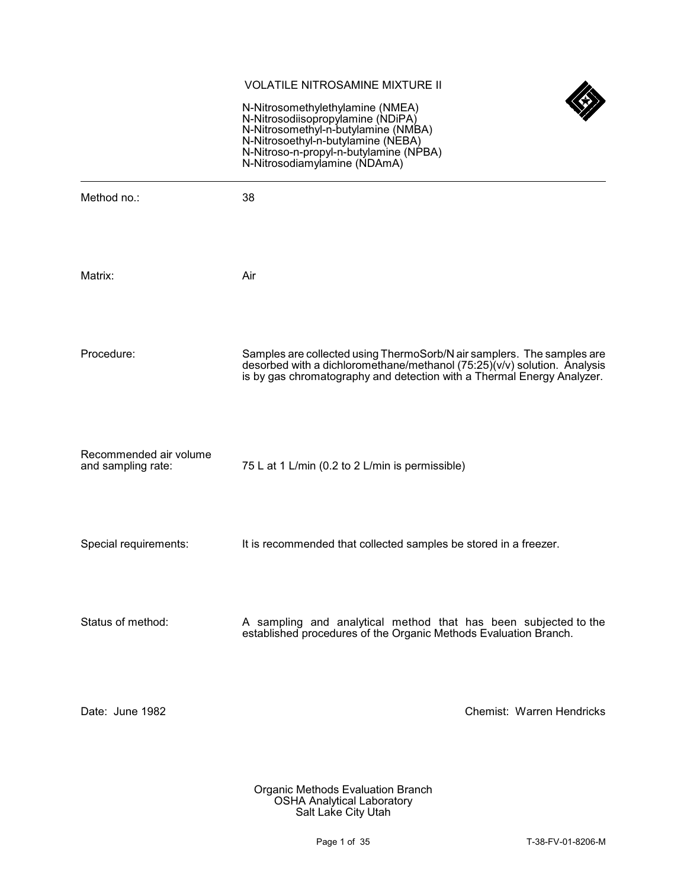## VOLATILE NITROSAMINE MIXTURE II



N-Nitrosomethylethylamine (NMEA) N-Nitrosodiisopropylamine (NDiPA) N-Nitrosomethyl-n-butylamine (NMBA) N-Nitrosoethyl-n-butylamine (NEBA) N-Nitroso-n-propyl-n-butylamine (NPBA) N-Nitrosodiamylamine (NDAmA)

| Method no.:                                  | 38                                                                                                                                                                                                                     |
|----------------------------------------------|------------------------------------------------------------------------------------------------------------------------------------------------------------------------------------------------------------------------|
| Matrix:                                      | Air                                                                                                                                                                                                                    |
| Procedure:                                   | Samples are collected using ThermoSorb/N air samplers. The samples are desorbed with a dichloromethane/methanol (75:25)(v/v) solution. Analysis is by gas chromatography and detection with a Thermal Energy Analyzer. |
| Recommended air volume<br>and sampling rate: | 75 L at 1 L/min (0.2 to 2 L/min is permissible)                                                                                                                                                                        |
| Special requirements:                        | It is recommended that collected samples be stored in a freezer.                                                                                                                                                       |
| Status of method:                            | A sampling and analytical method that has been subjected to the<br>established procedures of the Organic Methods Evaluation Branch.                                                                                    |
| Date: June 1982                              | Chemist: Warren Hendricks                                                                                                                                                                                              |
|                                              |                                                                                                                                                                                                                        |

Organic Methods Evaluation Branch OSHA Analytical Laboratory Salt Lake City Utah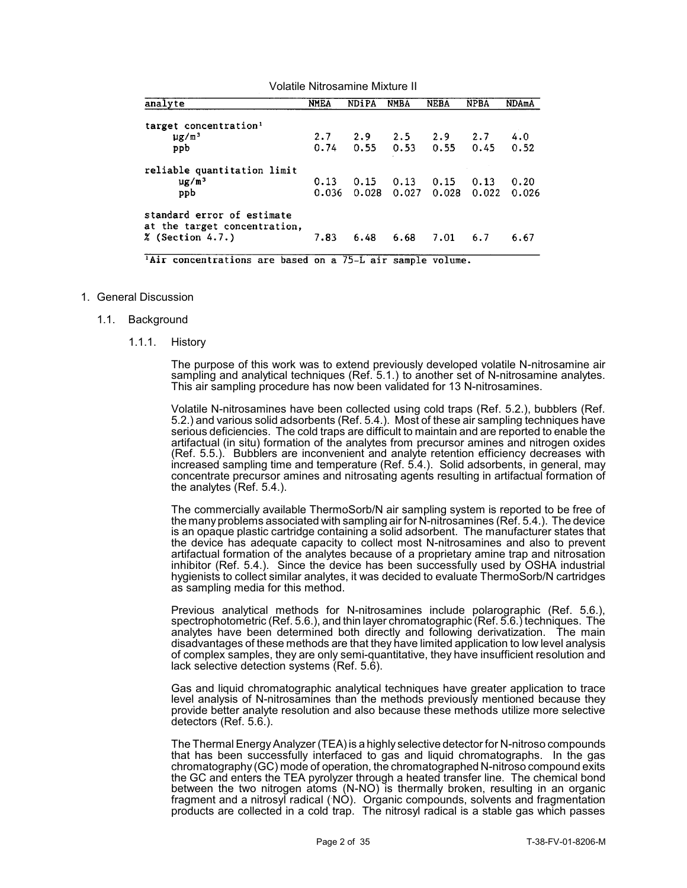| Volatile Nitrosamine Mixture II                                                  |               |               |               |                   |               |               |  |
|----------------------------------------------------------------------------------|---------------|---------------|---------------|-------------------|---------------|---------------|--|
| analyte                                                                          | <b>NMEA</b>   | <b>NDiPA</b>  | <b>NMBA</b>   | <b>NEBA</b>       | <b>NPBA</b>   | <b>NDAmA</b>  |  |
| target concentration <sup>1</sup><br>$\mu$ g/m <sup>3</sup><br>ppb               | 2.7<br>0.74   | 2.9<br>0.55   | 2.5<br>0.53   | $2.9$ 2.7<br>0.55 | 0.45          | 4.0<br>0.52   |  |
| reliable quantitation limit<br>$\mu$ g/m <sup>3</sup><br>ppb                     | 0.13<br>0.036 | 0.15<br>0.028 | 0.13<br>0.027 | 0.15<br>0.028     | 0.13<br>0.022 | 0.20<br>0.026 |  |
| standard error of estimate<br>at the target concentration.<br>$%$ (Section 4.7.) | 7.83          | 6.48          | 6.68          | 7.01              | 6.7           | 6.67          |  |

<sup>1</sup>Air concentrations are based on a 75-L air sample volume.

- 1. General Discussion
	- 1.1. Background
		- 1.1.1. History

The purpose of this work was to extend previously developed volatile N-nitrosamine air sampling and analytical techniques (Ref. 5.1.) to another set of N-nitrosamine analytes. This air sampling procedure has now been validated for 13 N-nitrosamines.

Volatile N-nitrosamines have been collected using cold traps (Ref. 5.2.), bubblers (Ref. 5.2.) and various solid adsorbents (Ref. 5.4.). Most of these air sampling techniques have serious deficiencies. The cold traps are difficult to maintain and are reported to enable the artifactual (in situ) formation of the analytes from precursor amines and nitrogen oxides (Ref. 5.5.). Bubblers are inconvenient and analyte retention efficiency decreases with increased sampling time and temperature (Ref. 5.4.). Solid adsorbents, in general, may concentrate precursor amines and nitrosating agents resulting in artifactual formation of the analytes (Ref. 5.4.).

The commercially available ThermoSorb/N air sampling system is reported to be free of the manyproblems associated with sampling air for N-nitrosamines (Ref. 5.4.). The device is an opaque plastic cartridge containing a solid adsorbent. The manufacturer states that the device has adequate capacity to collect most N-nitrosamines and also to prevent artifactual formation of the analytes because of a proprietary amine trap and nitrosation inhibitor (Ref. 5.4.). Since the device has been successfully used by OSHA industrial hygienists to collect similar analytes, it was decided to evaluate ThermoSorb/N cartridges as sampling media for this method.

Previous analytical methods for N-nitrosamines include polarographic (Ref. 5.6.), spectrophotometric (Ref. 5.6.), and thin layer chromatographic (Ref. 5.6.) techniques. The analytes have been determined both directly and following derivatization. The main disadvantages of these methods are that they have limited application to low level analysis of complex samples, they are only semi-quantitative, they have insufficient resolution and lack selective detection systems (Ref. 5.6).

Gas and liquid chromatographic analytical techniques have greater application to trace level analysis of N-nitrosamines than the methods previously mentioned because they provide better analyte resolution and also because these methods utilize more selective detectors (Ref. 5.6.).

The Thermal EnergyAnalyzer (TEA) is a highly selective detector for N-nitroso compounds that has been successfully interfaced to gas and liquid chromatographs. In the gas chromatography (GC) mode of operation, the chromatographed N-nitroso compound exits the GC and enters the TEA pyrolyzer through a heated transfer line. The chemical bond between the two nitrogen atoms (N-NO) is thermally broken, resulting in an organic fragment and a nitrosyl radical (NÒ). Organic compounds, solvents and fragmentation products are collected in a cold trap. The nitrosyl radical is a stable gas which passes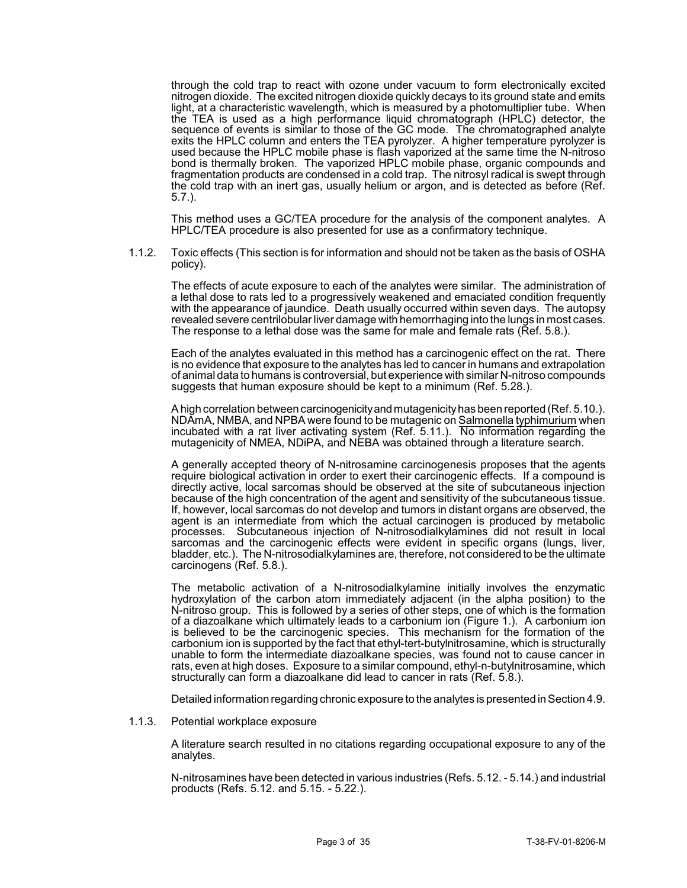through the cold trap to react with ozone under vacuum to form electronically excited nitrogen dioxide. The excited nitrogen dioxide quickly decays to its ground state and emits light, at a characteristic wavelength, which is measured by a photomultiplier tube. When the TEA is used as a high performance liquid chromatograph (HPLC) detector, the sequence of events is similar to those of the GC mode. The chromatographed analyte exits the HPLC column and enters the TEA pyrolyzer. A higher temperature pyrolyzer is used because the HPLC mobile phase is flash vaporized at the same time the N-nitroso bond is thermally broken. The vaporized HPLC mobile phase, organic compounds and fragmentation products are condensed in a cold trap. The nitrosyl radical is swept through the cold trap with an inert gas, usually helium or argon, and is detected as before (Ref. 5.7.).

This method uses a GC/TEA procedure for the analysis of the component analytes. A HPLC/TEA procedure is also presented for use as a confirmatory technique.

1.1.2. Toxic effects (This section is for information and should not be taken as the basis of OSHA policy).

The effects of acute exposure to each of the analytes were similar. The administration of a lethal dose to rats led to a progressively weakened and emaciated condition frequently with the appearance of jaundice. Death usually occurred within seven days. The autopsy revealed severe centrilobular liver damage with hemorrhaging into the lungs in most cases. The response to a lethal dose was the same for male and female rats (Ref. 5.8.).

Each of the analytes evaluated in this method has a carcinogenic effect on the rat. There is no evidence that exposure to the analytes has led to cancer in humans and extrapolation of animal data to humans is controversial, but experience with similar N-nitroso compounds suggests that human exposure should be kept to a minimum (Ref. 5.28.).

A high correlation between carcinogenicityand mutagenicityhas been reported (Ref. 5.10.). NDAmA, NMBA, and NPBA were found to be mutagenic on Salmonella typhimurium when incubated with a rat liver activating system (Ref. 5.11.). No information regarding the mutagenicity of NMEA, NDiPA, and NEBA was obtained through a literature search.

A generally accepted theory of N-nitrosamine carcinogenesis proposes that the agents require biological activation in order to exert their carcinogenic effects. If a compound is directly active, local sarcomas should be observed at the site of subcutaneous injection because of the high concentration of the agent and sensitivity of the subcutaneous tissue. If, however, local sarcomas do not develop and tumors in distant organs are observed, the agent is an intermediate from which the actual carcinogen is produced by metabolic processes. Subcutaneous injection of N-nitrosodialkylamines did not result in local sarcomas and the carcinogenic effects were evident in specific organs (lungs, liver, bladder, etc.). The N-nitrosodialkylamines are, therefore, not considered to be the ultimate carcinogens (Ref. 5.8.).

The metabolic activation of a N-nitrosodialkylamine initially involves the enzymatic hydroxylation of the carbon atom immediately adjacent (in the alpha position) to the N-nitroso group. This is followed by a series of other steps, one of which is the formation of a diazoalkane which ultimately leads to a carbonium ion (Figure 1.). A carbonium ion is believed to be the carcinogenic species. This mechanism for the formation of the carbonium ion is supported by the fact that ethyl-tert-butylnitrosamine, which is structurally unable to form the intermediate diazoalkane species, was found not to cause cancer in rats, even at high doses. Exposure to a similar compound, ethyl-n-butylnitrosamine, which structurally can form a diazoalkane did lead to cancer in rats (Ref. 5.8.).

Detailed information regarding chronic exposure to the analytes is presented in Section 4.9.

1.1.3. Potential workplace exposure

A literature search resulted in no citations regarding occupational exposure to any of the analytes.

N-nitrosamines have been detected in various industries (Refs. 5.12. - 5.14.) and industrial products (Refs. 5.12. and 5.15. - 5.22.).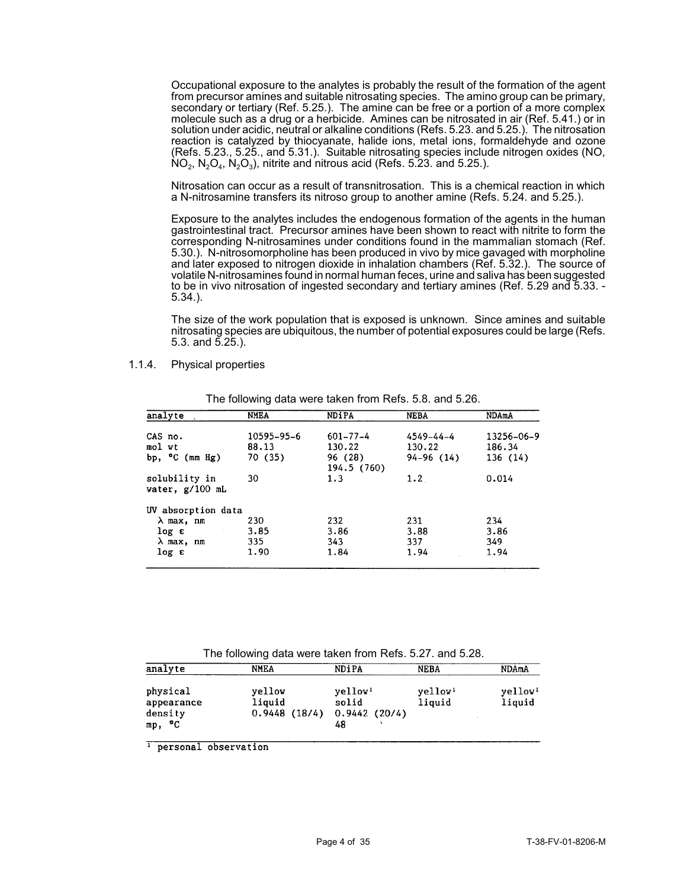Occupational exposure to the analytes is probably the result of the formation of the agent from precursor amines and suitable nitrosating species. The amino group can be primary, secondary or tertiary (Ref. 5.25.). The amine can be free or a portion of a more complex molecule such as a drug or a herbicide. Amines can be nitrosated in air (Ref. 5.41.) or in solution under acidic, neutral or alkaline conditions (Refs. 5.23. and 5.25.). The nitrosation reaction is catalyzed by thiocyanate, halide ions, metal ions, formaldehyde and ozone (Refs. 5.23., 5.25., and 5.31.). Suitable nitrosating species include nitrogen oxides (NO,  $NO_2$ ,  $N_2O_4$ ,  $N_2O_3$ ), nitrite and nitrous acid (Refs. 5.23. and 5.25.).

Nitrosation can occur as a result of transnitrosation. This is a chemical reaction in which a N-nitrosamine transfers its nitroso group to another amine (Refs. 5.24. and 5.25.).

Exposure to the analytes includes the endogenous formation of the agents in the human gastrointestinal tract. Precursor amines have been shown to react with nitrite to form the corresponding N-nitrosamines under conditions found in the mammalian stomach (Ref. 5.30.). N-nitrosomorpholine has been produced in vivo by mice gavaged with morpholine and later exposed to nitrogen dioxide in inhalation chambers (Ref. 5.32.). The source of volatile N-nitrosamines found in normal human feces, urine and saliva has been suggested to be in vivo nitrosation of ingested secondary and tertiary amines (Ref. 5.29 and 5.33. - 5.34.).

The size of the work population that is exposed is unknown. Since amines and suitable nitrosating species are ubiquitous, the number of potential exposures could be large (Refs. 5.3. and 5.25.).

1.1.4. Physical properties

| analyte                            | <b>NMEA</b> | <b>NDiPA</b>           | <b>NEBA</b> | NDAmA      |
|------------------------------------|-------------|------------------------|-------------|------------|
| CAS no.                            | 10595-95-6  | $601 - 77 - 4$         | 4549–44–4   | 13256-06-9 |
| mol wt                             | 88.13       | 130.22                 | 130.22      | 186.34     |
| bp, <sup>o</sup> C (mm Hg)         | 70 (35)     | 96 (28)<br>194.5 (760) | $94-96(14)$ | 136(14)    |
| solubility in<br>water, $g/100$ mL | 30          | 1.3                    | 1.2         | 0.014      |
| UV absorption data                 |             |                        |             |            |
| λ max, nm                          | 230         | 232                    | 231         | 234        |
| log e                              | 3.85        | 3.86                   | 3.88        | 3.86       |
| $\lambda$ max, nm                  | 335         | 343                    | 337         | 349        |
| log ε                              | 1.90        | 1.84                   | 1.94        | 1.94       |

The following data were taken from Refs. 5.8. and 5.26.

| The following data were taken from Refs. 5.27. and 5.28. |                                  |                                                    |                               |                               |  |  |  |
|----------------------------------------------------------|----------------------------------|----------------------------------------------------|-------------------------------|-------------------------------|--|--|--|
| analyte                                                  | <b>NMEA</b>                      | NDiPA                                              | NEBA                          | NDAmA                         |  |  |  |
| physical<br>appearance<br>density<br>mp, °C              | yellow<br>liquid<br>0.9448(18/4) | yellow <sup>1</sup><br>solid<br>0.9442(20/4)<br>48 | yellow <sup>1</sup><br>liquid | yellow <sup>1</sup><br>liquid |  |  |  |

<sup>1</sup> personal observation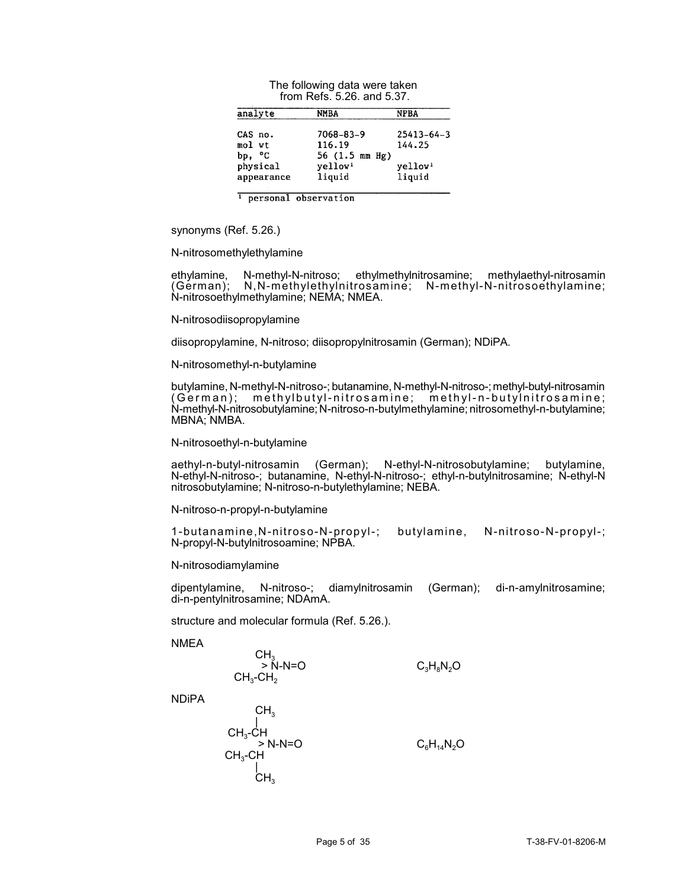| 110111 13613. J.ZU. 8119 J.JT. |                               |                               |  |  |  |  |
|--------------------------------|-------------------------------|-------------------------------|--|--|--|--|
| analyte                        | NMBA                          | NPBA                          |  |  |  |  |
| CAS no.                        | 7068-83-9                     | $25413 - 64 - 3$              |  |  |  |  |
| mol wt                         | 116.19                        | 144.25                        |  |  |  |  |
| bp, °C                         | 56 $(1.5 \, \text{mm Hg})$    |                               |  |  |  |  |
| physical<br>appearance         | yellow <sup>1</sup><br>liquid | yellow <sup>1</sup><br>liquid |  |  |  |  |

| The following data were taken |
|-------------------------------|
| from Refs. 5.26, and 5.37.    |

<sup>1</sup> personal observation

synonyms (Ref. 5.26.)

#### N-nitrosomethylethylamine

ethylamine, N-methyl-N-nitroso; ethylmethylnitrosamine; methylaethyl-nitrosamin (German); N,N-methylethylnitrosamine; N-methyl-N-nitrosoethylamine; N-nitrosoethylmethylamine; NEMA; NMEA.

#### N-nitrosodiisopropylamine

diisopropylamine, N-nitroso; diisopropylnitrosamin (German); NDiPA.

#### N-nitrosomethyl-n-butylamine

butylamine, N-methyl-N-nitroso-; butanamine, N-methyl-N-nitroso-; methyl-butyl-nitrosamin (German); methylbutyl-nitrosamine; methyl-n-butylnitrosamine; N-methyl-N-nitrosobutylamine; N-nitroso-n-butylmethylamine; nitrosomethyl-n-butylamine; MBNA; NMBA.

#### N-nitrosoethyl-n-butylamine

aethyl-n-butyl-nitrosamin (German); N-ethyl-N-nitrosobutylamine; butylamine, N-ethyl-N-nitroso-; butanamine, N-ethyl-N-nitroso-; ethyl-n-butylnitrosamine; N-ethyl-N nitrosobutylamine; N-nitroso-n-butylethylamine; NEBA.

#### N-nitroso-n-propyl-n-butylamine

1-butanamine,N-nitroso-N-propyl-; butylamine, N-nitroso-N-propyl-; N-propyl-N-butylnitrosoamine; NPBA.

#### N-nitrosodiamylamine

dipentylamine, N-nitroso-; diamylnitrosamin (German); di-n-amylnitrosamine; di-n-pentylnitrosamine; NDAmA.

structure and molecular formula (Ref. 5.26.).

 $\sim$ 

#### **NMEA**

$$
CH_3> N-N=OCH_3-CH_2
$$
 C<sub>3</sub>H<sub>8</sub>N<sub>2</sub>O

NDiPA

$$
CH_3
$$
\n
$$
CH_3-CH
$$
\n
$$
> N-N=O
$$
\n
$$
CH_3-CH
$$
\n
$$
CH_3-CH
$$
\n
$$
CH_3
$$
\n
$$
CH_3
$$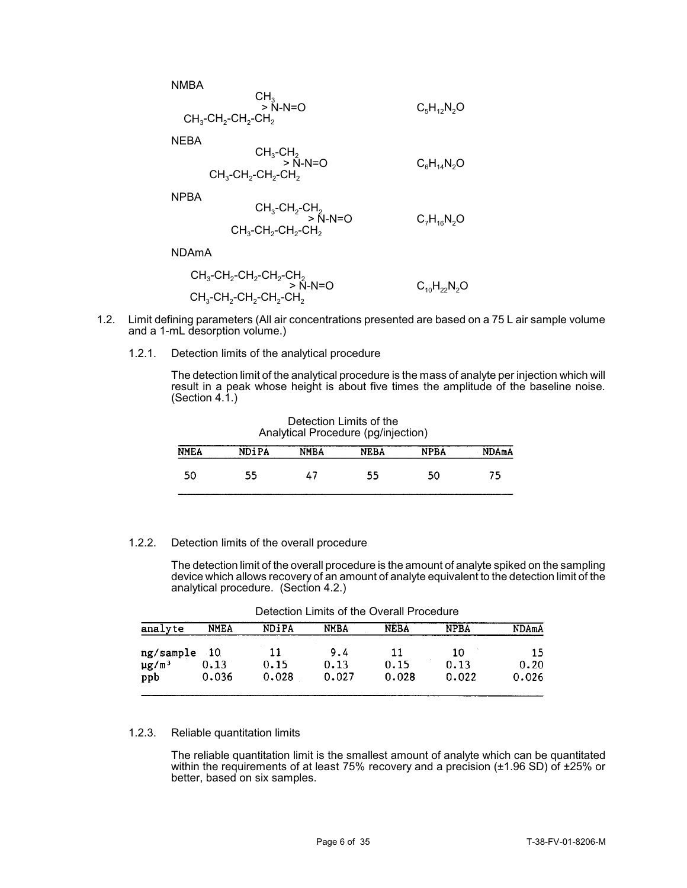NMBA  $\mathsf{CH}_3$  $> N-N=O$   $C_5H_{12}N_2O$  $\mathsf{CH}_3\text{-}\mathsf{CH}_2\text{-}\mathsf{CH}_2\text{-}\mathsf{CH}_2$ 

NEBA

$$
CH_3-CH_2
$$
  
\n $\Rightarrow N-N=O$   
\n $CH_3-CH_2-CH_2-CH_2$   
\n $CH_3-CH_2-CH_2$ 

NPBA

$$
CH_{3}\text{-}CH_{2}\text{-}CH_{2}> N\text{-}N=OCH_{3}\text{-}CH_{2}\text{-}CH_{2}\text{-}CH_{2}
$$

NDAmA

$$
CH_3-CH_2-CH_2-CH_2-CH_2
$$
  
> N-N=O  
 $CH_3-CH_2-CH_2-CH_2-CH_2$   
 $CH_3-CH_2-CH_2-CH_2$ 

- 1.2. Limit defining parameters (All air concentrations presented are based on a 75 L air sample volume and a 1-mL desorption volume.)
	- 1.2.1. Detection limits of the analytical procedure

The detection limit of the analytical procedure is the mass of analyte per injection which will result in a peak whose height is about five times the amplitude of the baseline noise. (Section 4.1.)

| Analytical Procedure (pg/injection) |              |      |             |             |              |  |  |
|-------------------------------------|--------------|------|-------------|-------------|--------------|--|--|
| <b>NMEA</b>                         | <b>NDiPA</b> | NMBA | <b>NEBA</b> | <b>NPBA</b> | <b>NDAmA</b> |  |  |
| 50                                  | 55           | 47   | 55          | 50          | 75.          |  |  |

Detection Limits of the

## 1.2.2. Detection limits of the overall procedure

The detection limit of the overall procedure is the amount of analyte spiked on the sampling device which allows recovery of an amount of analyte equivalent to the detection limit of the analytical procedure. (Section 4.2.)

| analyte                | <b>NMEA</b> | NDiPA | <b>NMBA</b> | <b>NEBA</b> | <b>NPBA</b> | NDAmA |
|------------------------|-------------|-------|-------------|-------------|-------------|-------|
| ng/sample 10           |             | 11    | 9.4         | 11          | 10          | 15    |
| $\mu$ g/m <sup>3</sup> | 0.13        | 0.15  | 0.13        | 0.15        | 0.13        | 0.20  |
| ppb                    | 0.036       | 0.028 | 0.027       | 0.028       | 0.022       | 0.026 |

Detection Limits of the Overall Procedure

### 1.2.3. Reliable quantitation limits

The reliable quantitation limit is the smallest amount of analyte which can be quantitated within the requirements of at least 75% recovery and a precision (±1.96 SD) of ±25% or better, based on six samples.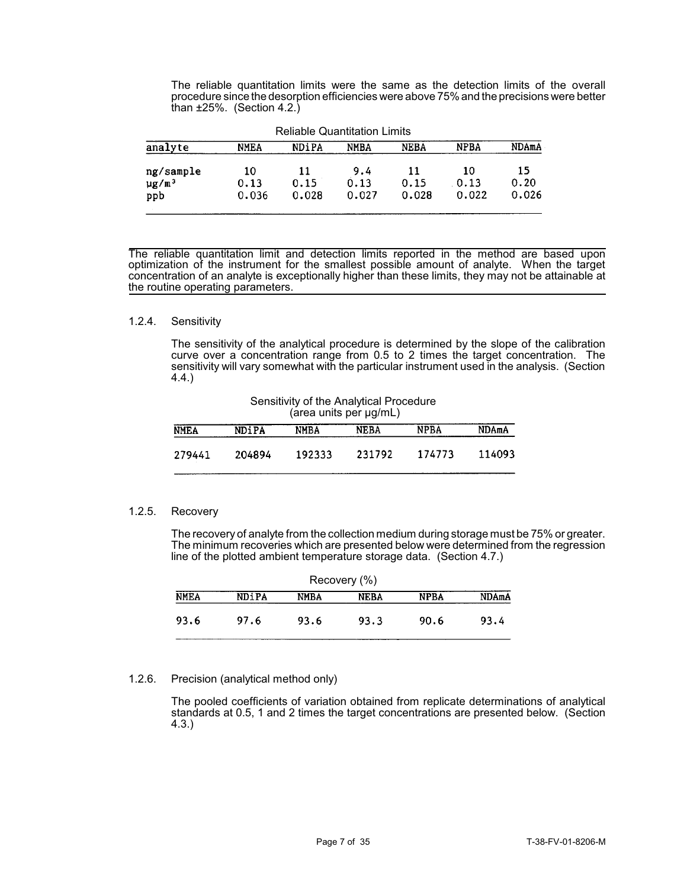The reliable quantitation limits were the same as the detection limits of the overall procedure since the desorption efficiencies were above 75% and the precisions were better than ±25%. (Section 4.2.)

| <b>Reliable Quantitation Limits</b>        |                     |                     |                      |                     |                     |                     |
|--------------------------------------------|---------------------|---------------------|----------------------|---------------------|---------------------|---------------------|
| analyte                                    | <b>NMEA</b>         | <b>NDiPA</b>        | NMBA                 | <b>NEBA</b>         | <b>NPBA</b>         | NDAmA               |
| ng/sample<br>$\mu$ g/m <sup>3</sup><br>ppb | 10<br>0.13<br>0.036 | 11<br>0.15<br>0.028 | 9.4<br>0.13<br>0.027 | 11<br>0.15<br>0.028 | 10<br>0.13<br>0.022 | 15<br>0.20<br>0.026 |

The reliable quantitation limit and detection limits reported in the method are based upon optimization of the instrument for the smallest possible amount of analyte. When the target concentration of an analyte is exceptionally higher than these limits, they may not be attainable at the routine operating parameters.

### 1.2.4. Sensitivity

The sensitivity of the analytical procedure is determined by the slope of the calibration curve over a concentration range from 0.5 to 2 times the target concentration. The sensitivity will vary somewhat with the particular instrument used in the analysis. (Section 4.4.)

Sensitivity of the Analytical Procedure (area units per µg/mL) **NEBA NPBA NDAmA NMEA NDiPA NMBA** 279441 204894 192333 231792 174773 114093

## 1.2.5. Recovery

The recovery of analyte from the collection medium during storage must be 75% or greater. The minimum recoveries which are presented below were determined from the regression line of the plotted ambient temperature storage data. (Section 4.7.)

| Recovery (%) |              |             |      |             |       |  |  |
|--------------|--------------|-------------|------|-------------|-------|--|--|
| <b>NMEA</b>  | <b>NDiPA</b> | <b>NMBA</b> | NEBA | <b>NPBA</b> | NDAmA |  |  |
| 93.6         | 97.6         | 93.6        | 93.3 | 90.6        | 93.4  |  |  |
|              |              |             |      |             |       |  |  |

## 1.2.6. Precision (analytical method only)

The pooled coefficients of variation obtained from replicate determinations of analytical standards at 0.5, 1 and 2 times the target concentrations are presented below. (Section 4.3.)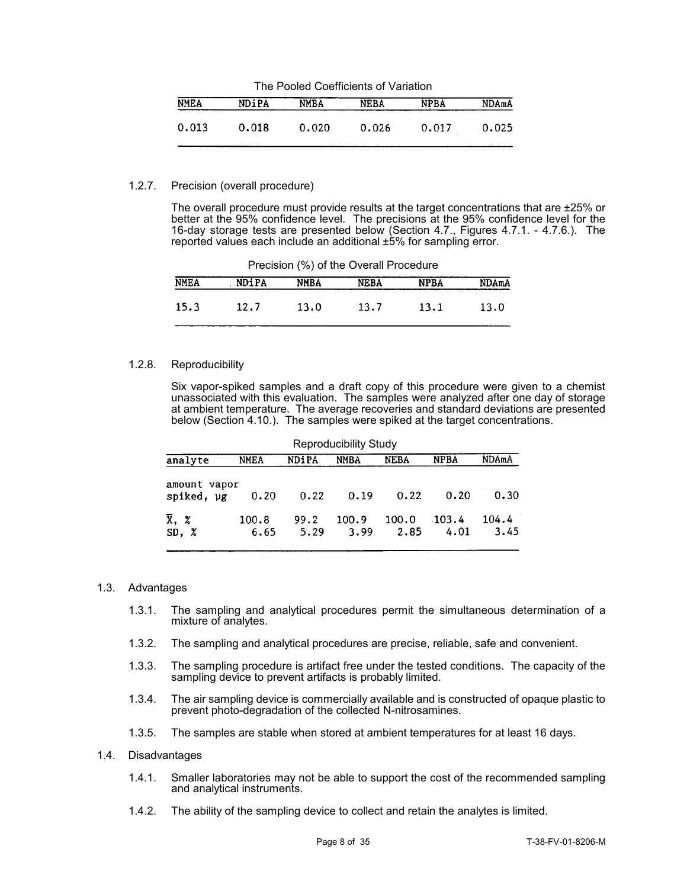| The Pooled Coefficients of Variation |              |             |             |             |       |  |  |
|--------------------------------------|--------------|-------------|-------------|-------------|-------|--|--|
| <b>NMEA</b>                          | <b>NDiPA</b> | <b>NMBA</b> | <b>NEBA</b> | <b>NPBA</b> | NDAmA |  |  |
| 0.013                                | 0.018        | 0.020       | 0.026       | 0.017       | 0.025 |  |  |

### 1.2.7. Precision (overall procedure)

The overall procedure must provide results at the target concentrations that are ±25% or better at the 95% confidence level. The precisions at the 95% confidence level for the 16-day storage tests are presented below (Section 4.7., Figures 4.7.1. - 4.7.6.). The reported values each include an additional ±5% for sampling error.

| <b>NMEA</b> | NDiPA | NMBA | NEBA | <b>NPBA</b> | <b>NDAmA</b> |
|-------------|-------|------|------|-------------|--------------|
| 15.3        | 12.7  | 13.0 | 13.7 | 13.1        | 13.0         |

Precision (%) of the Overall Procedure

### 1.2.8. Reproducibility

Six vapor-spiked samples and a draft copy of this procedure were given to a chemist unassociated with this evaluation. The samples were analyzed after one day of storage at ambient temperature. The average recoveries and standard deviations are presented below (Section 4.10.). The samples were spiked at the target concentrations.

| Reproducibility Study            |               |              |               |               |                  |               |
|----------------------------------|---------------|--------------|---------------|---------------|------------------|---------------|
| analyte                          | <b>NMEA</b>   | <b>NDiPA</b> | <b>NMBA</b>   | <b>NEBA</b>   | <b>NPBA</b>      | NDAmA         |
| amount vapor<br>spiked, ug       | 0.20          | 0.22         | 0.19          | 0.22          | 0.20             | 0.30          |
| $\overline{x}$ , $\chi$<br>SD, X | 100.8<br>6.65 | 99.2<br>5.29 | 100.9<br>3.99 | 100.0<br>2.85 | $-103.4$<br>4.01 | 104.4<br>3.45 |

### 1.3. Advantages

- 1.3.1. The sampling and analytical procedures permit the simultaneous determination of a mixture of analytes.
- 1.3.2. The sampling and analytical procedures are precise, reliable, safe and convenient.
- 1.3.3. The sampling procedure is artifact free under the tested conditions. The capacity of the sampling device to prevent artifacts is probably limited.
- 1.3.4. The air sampling device is commercially available and is constructed of opaque plastic to prevent photo-degradation of the collected N-nitrosamines.
- 1.3.5. The samples are stable when stored at ambient temperatures for at least 16 days.
- 1.4. Disadvantages
	- 1.4.1. Smaller laboratories may not be able to support the cost of the recommended sampling and analytical instruments.
	- 1.4.2. The ability of the sampling device to collect and retain the analytes is limited.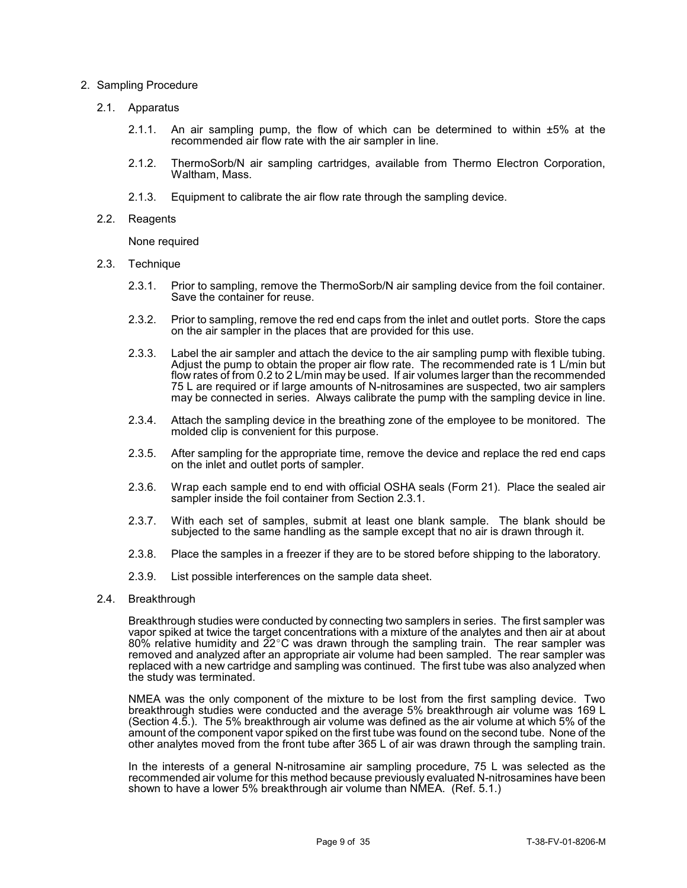### 2. Sampling Procedure

- 2.1. Apparatus
	- 2.1.1. An air sampling pump, the flow of which can be determined to within ±5% at the recommended air flow rate with the air sampler in line.
	- 2.1.2. ThermoSorb/N air sampling cartridges, available from Thermo Electron Corporation, Waltham, Mass.
	- 2.1.3. Equipment to calibrate the air flow rate through the sampling device.
- 2.2. Reagents

None required

- 2.3. Technique
	- 2.3.1. Prior to sampling, remove the ThermoSorb/N air sampling device from the foil container. Save the container for reuse.
	- 2.3.2. Prior to sampling, remove the red end caps from the inlet and outlet ports. Store the caps on the air sampler in the places that are provided for this use.
	- 2.3.3. Label the air sampler and attach the device to the air sampling pump with flexible tubing. Adjust the pump to obtain the proper air flow rate. The recommended rate is 1 L/min but flow rates of from 0.2 to 2 L/min may be used. If air volumes larger than the recommended 75 L are required or if large amounts of N-nitrosamines are suspected, two air samplers may be connected in series. Always calibrate the pump with the sampling device in line.
	- 2.3.4. Attach the sampling device in the breathing zone of the employee to be monitored. The molded clip is convenient for this purpose.
	- 2.3.5. After sampling for the appropriate time, remove the device and replace the red end caps on the inlet and outlet ports of sampler.
	- 2.3.6. Wrap each sample end to end with official OSHA seals (Form 21). Place the sealed air sampler inside the foil container from Section 2.3.1.
	- 2.3.7. With each set of samples, submit at least one blank sample. The blank should be subjected to the same handling as the sample except that no air is drawn through it.
	- 2.3.8. Place the samples in a freezer if they are to be stored before shipping to the laboratory.
	- 2.3.9. List possible interferences on the sample data sheet.
- 2.4. Breakthrough

Breakthrough studies were conducted by connecting two samplers in series. The first sampler was vapor spiked at twice the target concentrations with a mixture of the analytes and then air at about 80% relative humidity and 22°C was drawn through the sampling train. The rear sampler was removed and analyzed after an appropriate air volume had been sampled. The rear sampler was replaced with a new cartridge and sampling was continued. The first tube was also analyzed when the study was terminated.

NMEA was the only component of the mixture to be lost from the first sampling device. Two breakthrough studies were conducted and the average 5% breakthrough air volume was 169 L (Section 4.5.). The 5% breakthrough air volume was defined as the air volume at which 5% of the amount of the component vapor spiked on the first tube was found on the second tube. None of the other analytes moved from the front tube after 365 L of air was drawn through the sampling train.

In the interests of a general N-nitrosamine air sampling procedure, 75 L was selected as the recommended air volume for this method because previously evaluated N-nitrosamines have been shown to have a lower 5% breakthrough air volume than NMEA. (Ref. 5.1.)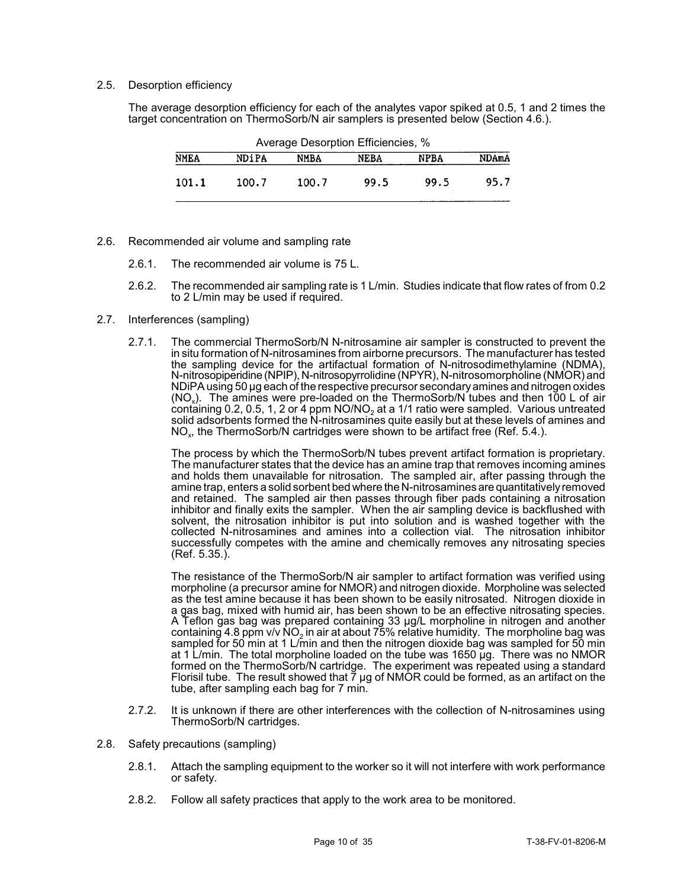### 2.5. Desorption efficiency

The average desorption efficiency for each of the analytes vapor spiked at 0.5, 1 and 2 times the target concentration on ThermoSorb/N air samplers is presented below (Section 4.6.).

| Average Desorption Efficiencies, % |              |       |             |             |              |
|------------------------------------|--------------|-------|-------------|-------------|--------------|
| <b>NMEA</b>                        | <b>NDiPA</b> | NMBA  | <b>NEBA</b> | <b>NPBA</b> | <b>NDAmA</b> |
| 101.1                              | 100.7        | 100.7 | 99.5        | 99.5        | 95.7         |

- 2.6. Recommended air volume and sampling rate
	- 2.6.1. The recommended air volume is 75 L.
	- 2.6.2. The recommended air sampling rate is 1 L/min. Studies indicate that flow rates of from 0.2 to 2 L/min may be used if required.
- 2.7. Interferences (sampling)
	- 2.7.1. The commercial ThermoSorb/N N-nitrosamine air sampler is constructed to prevent the in situ formation of N-nitrosamines from airborne precursors. The manufacturer has tested the sampling device for the artifactual formation of N-nitrosodimethylamine (NDMA), N-nitrosopiperidine (NPIP), N-nitrosopyrrolidine (NPYR), N-nitrosomorpholine (NMOR) and NDiPA using 50 µg each of the respective precursor secondaryamines and nitrogen oxides (NO<sub>x</sub>). The amines were pre-loaded on the ThermoSorb/N tubes and then 100 L of air containing 0.2, 0.5, 1, 2 or 4 ppm NO/NO<sub>2</sub> at a 1/1 ratio were sampled. Various untreated solid adsorbents formed the N-nitrosamines quite easily but at these levels of amines and  $NO<sub>x</sub>$ , the ThermoSorb/N cartridges were shown to be artifact free (Ref. 5.4.).

The process by which the ThermoSorb/N tubes prevent artifact formation is proprietary. The manufacturer states that the device has an amine trap that removes incoming amines and holds them unavailable for nitrosation. The sampled air, after passing through the amine trap, enters a solid sorbent bed where the N-nitrosamines are quantitatively removed and retained. The sampled air then passes through fiber pads containing a nitrosation inhibitor and finally exits the sampler. When the air sampling device is backflushed with solvent, the nitrosation inhibitor is put into solution and is washed together with the collected N-nitrosamines and amines into a collection vial. The nitrosation inhibitor successfully competes with the amine and chemically removes any nitrosating species (Ref. 5.35.).

The resistance of the ThermoSorb/N air sampler to artifact formation was verified using morpholine (a precursor amine for NMOR) and nitrogen dioxide. Morpholine was selected as the test amine because it has been shown to be easily nitrosated. Nitrogen dioxide in a gas bag, mixed with humid air, has been shown to be an effective nitrosating species. A Teflon gas bag was prepared containing 33 µg/L morpholine in nitrogen and another containing 4.8 ppm v/v NO<sub>2</sub> in air at about 75% relative humidity. The morpholine bag was sampled for 50 min at 1 L/min and then the nitrogen dioxide bag was sampled for 50 min at 1 L/min. The total morpholine loaded on the tube was 1650 µg. There was no NMOR formed on the ThermoSorb/N cartridge. The experiment was repeated using a standard Florisil tube. The result showed that  $\bar{7}$  µg of NMOR could be formed, as an artifact on the tube, after sampling each bag for 7 min.

- 2.7.2. It is unknown if there are other interferences with the collection of N-nitrosamines using ThermoSorb/N cartridges.
- 2.8. Safety precautions (sampling)
	- 2.8.1. Attach the sampling equipment to the worker so it will not interfere with work performance or safety.
	- 2.8.2. Follow all safety practices that apply to the work area to be monitored.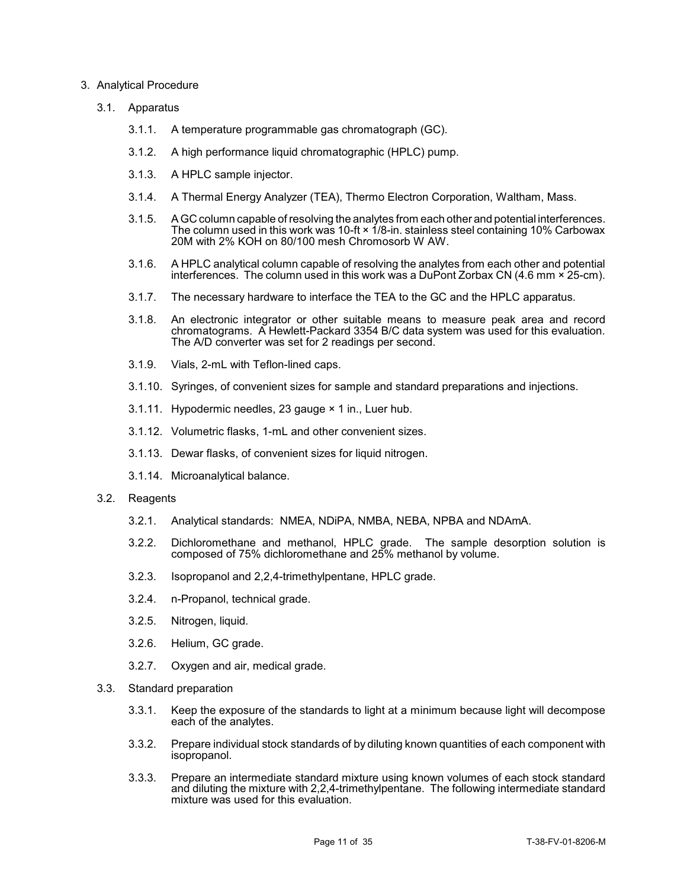### 3. Analytical Procedure

- 3.1. Apparatus
	- 3.1.1. A temperature programmable gas chromatograph (GC).
	- 3.1.2. A high performance liquid chromatographic (HPLC) pump.
	- 3.1.3. A HPLC sample injector.
	- 3.1.4. A Thermal Energy Analyzer (TEA), Thermo Electron Corporation, Waltham, Mass.
	- 3.1.5. A GC column capable of resolving the analytes from each other and potential interferences. The column used in this work was 10-ft × 1/8-in. stainless steel containing 10% Carbowax 20M with 2% KOH on 80/100 mesh Chromosorb W AW.
	- 3.1.6. A HPLC analytical column capable of resolving the analytes from each other and potential interferences. The column used in this work was a DuPont Zorbax CN  $(4.6 \text{ mm} \times 25 \text{ cm})$ .
	- 3.1.7. The necessary hardware to interface the TEA to the GC and the HPLC apparatus.
	- 3.1.8. An electronic integrator or other suitable means to measure peak area and record chromatograms. A Hewlett-Packard 3354 B/C data system was used for this evaluation. The A/D converter was set for 2 readings per second.
	- 3.1.9. Vials, 2-mL with Teflon-lined caps.
	- 3.1.10. Syringes, of convenient sizes for sample and standard preparations and injections.
	- 3.1.11. Hypodermic needles, 23 gauge × 1 in., Luer hub.
	- 3.1.12. Volumetric flasks, 1-mL and other convenient sizes.
	- 3.1.13. Dewar flasks, of convenient sizes for liquid nitrogen.
	- 3.1.14. Microanalytical balance.

### 3.2. Reagents

- 3.2.1. Analytical standards: NMEA, NDiPA, NMBA, NEBA, NPBA and NDAmA.
- 3.2.2. Dichloromethane and methanol, HPLC grade. The sample desorption solution is composed of 75% dichloromethane and 25% methanol by volume.
- 3.2.3. Isopropanol and 2,2,4-trimethylpentane, HPLC grade.
- 3.2.4. n-Propanol, technical grade.
- 3.2.5. Nitrogen, liquid.
- 3.2.6. Helium, GC grade.
- 3.2.7. Oxygen and air, medical grade.
- 3.3. Standard preparation
	- 3.3.1. Keep the exposure of the standards to light at a minimum because light will decompose each of the analytes.
	- 3.3.2. Prepare individual stock standards of by diluting known quantities of each component with isopropanol.
	- 3.3.3. Prepare an intermediate standard mixture using known volumes of each stock standard and diluting the mixture with 2,2,4-trimethylpentane. The following intermediate standard mixture was used for this evaluation.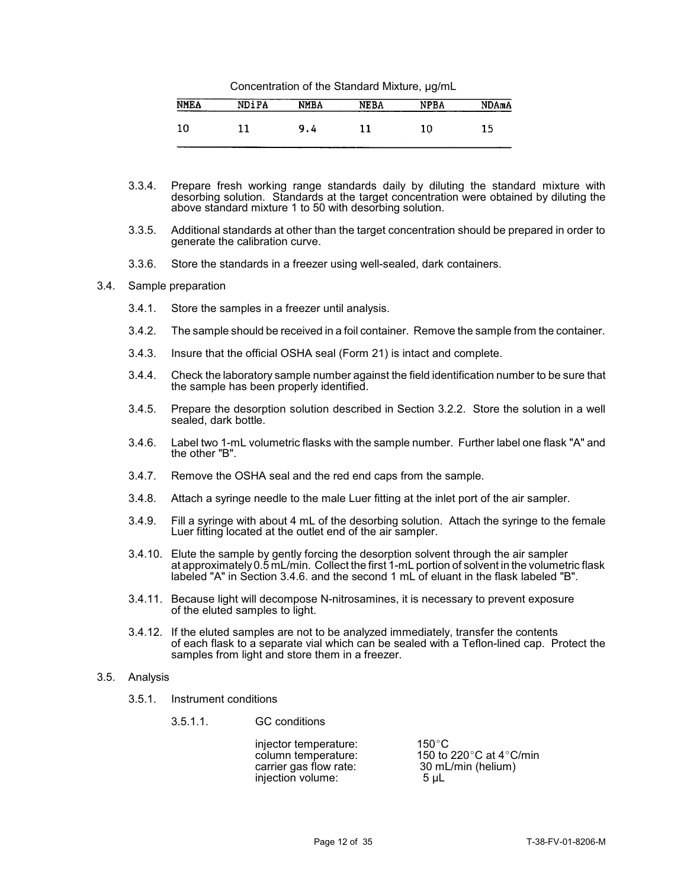| Concentration of the Standard Mixture, µg/mL |  |  |
|----------------------------------------------|--|--|
|----------------------------------------------|--|--|

| <b>NMEA</b><br>--------- | NDiPA | <b>NMBA</b> | <b>NEBA</b> | <b>NPBA</b> | NDAmA |
|--------------------------|-------|-------------|-------------|-------------|-------|
|                          |       | α<br>9.4    |             | 10          | 1 F.  |

- 3.3.4. Prepare fresh working range standards daily by diluting the standard mixture with desorbing solution. Standards at the target concentration were obtained by diluting the above standard mixture 1 to 50 with desorbing solution.
- 3.3.5. Additional standards at other than the target concentration should be prepared in order to generate the calibration curve.
- 3.3.6. Store the standards in a freezer using well-sealed, dark containers.

#### 3.4. Sample preparation

- 3.4.1. Store the samples in a freezer until analysis.
- 3.4.2. The sample should be received in a foil container. Remove the sample from the container.
- 3.4.3. Insure that the official OSHA seal (Form 21) is intact and complete.
- 3.4.4. Check the laboratory sample number against the field identification number to be sure that the sample has been properly identified.
- 3.4.5. Prepare the desorption solution described in Section 3.2.2. Store the solution in a well sealed, dark bottle.
- 3.4.6. Label two 1-mL volumetric flasks with the sample number. Further label one flask "A" and the other "B".
- 3.4.7. Remove the OSHA seal and the red end caps from the sample.
- 3.4.8. Attach a syringe needle to the male Luer fitting at the inlet port of the air sampler.
- 3.4.9. Fill a syringe with about 4 mL of the desorbing solution. Attach the syringe to the female Luer fitting located at the outlet end of the air sampler.
- 3.4.10. Elute the sample by gently forcing the desorption solvent through the air sampler at approximately0.5 mL/min. Collect the first 1-mL portion of solvent in the volumetric flask labeled "A" in Section 3.4.6. and the second 1 mL of eluant in the flask labeled "B".
- 3.4.11. Because light will decompose N-nitrosamines, it is necessary to prevent exposure of the eluted samples to light.
- 3.4.12. If the eluted samples are not to be analyzed immediately, transfer the contents of each flask to a separate vial which can be sealed with a Teflon-lined cap. Protect the samples from light and store them in a freezer.

#### 3.5. Analysis

- 3.5.1. Instrument conditions
	- 3.5.1.1. GC conditions

injector temperature: 150°C<br>column temperature: 150 to carrier gas flow rate:  $30 \text{ ml}$ <br>injection volume:  $5 \text{ µL}$ injection volume:

150 to 220 $^{\circ}$ C at 4 $^{\circ}$ C/min<br>30 mL/min (helium)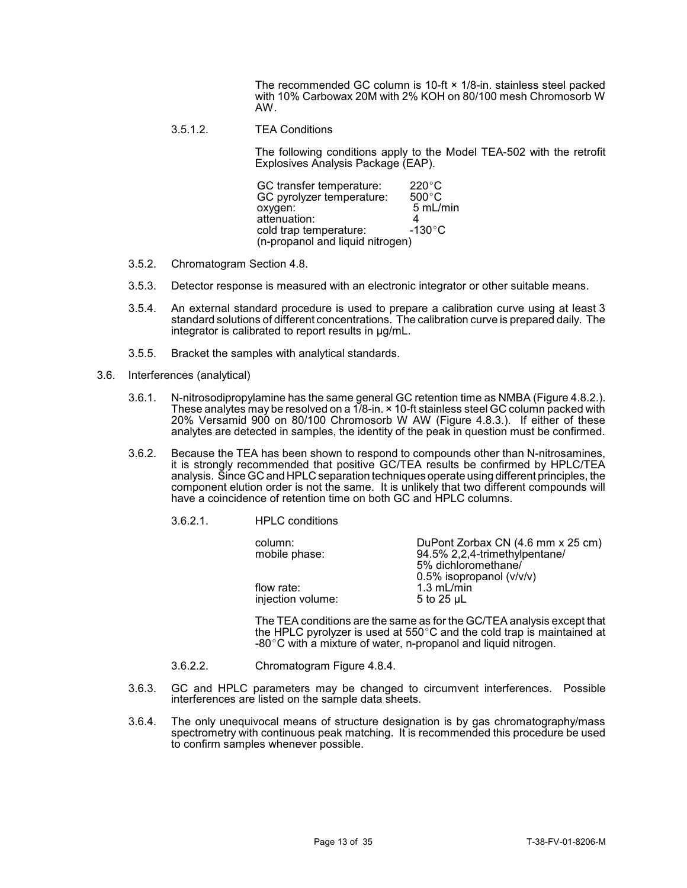The recommended GC column is 10-ft × 1/8-in. stainless steel packed with 10% Carbowax 20M with 2% KOH on 80/100 mesh Chromosorb W AW.

3.5.1.2. TEA Conditions

The following conditions apply to the Model TEA-502 with the retrofit Explosives Analysis Package (EAP).

| GC transfer temperature:         | $220^{\circ}$ C  |
|----------------------------------|------------------|
| GC pyrolyzer temperature:        | $500^{\circ}$ C  |
| oxygen:                          | 5 mL/min         |
| attenuation:                     |                  |
| cold trap temperature:           | $-130^{\circ}$ C |
| (n-propanol and liquid nitrogen) |                  |

- 3.5.2. Chromatogram Section 4.8.
- 3.5.3. Detector response is measured with an electronic integrator or other suitable means.
- 3.5.4. An external standard procedure is used to prepare a calibration curve using at least 3 standard solutions of different concentrations. The calibration curve is prepared daily. The integrator is calibrated to report results in µg/mL.
- 3.5.5. Bracket the samples with analytical standards.
- 3.6. Interferences (analytical)
	- 3.6.1. N-nitrosodipropylamine has the same general GC retention time as NMBA (Figure 4.8.2.). These analytes may be resolved on a 1/8-in. × 10-ft stainless steel GC column packed with 20% Versamid 900 on 80/100 Chromosorb W AW (Figure 4.8.3.). If either of these analytes are detected in samples, the identity of the peak in question must be confirmed.
	- 3.6.2. Because the TEA has been shown to respond to compounds other than N-nitrosamines, it is strongly recommended that positive GC/TEA results be confirmed by HPLC/TEA analysis. Since GC and HPLC separation techniques operate using different principles, the component elution order is not the same. It is unlikely that two different compounds will have a coincidence of retention time on both GC and HPLC columns.
		- 3.6.2.1. HPLC conditions

| column:<br>mobile phase:        | DuPont Zorbax CN (4.6 mm x 25 cm)<br>94.5% 2,2,4-trimethylpentane/<br>5% dichloromethane/ |
|---------------------------------|-------------------------------------------------------------------------------------------|
| flow rate:<br>injection volume: | $0.5\%$ isopropanol ( $v/v/v$ )<br>$1.3$ mL/min<br>5 to 25 $\mu$ L                        |

The TEA conditions are the same as for the GC/TEA analysis except that the HPLC pyrolyzer is used at  $550^{\circ}$ C and the cold trap is maintained at  $-80^{\circ}$ C with a mixture of water, n-propanol and liquid nitrogen.

- 3.6.2.2. Chromatogram Figure 4.8.4.
- 3.6.3. GC and HPLC parameters may be changed to circumvent interferences. Possible interferences are listed on the sample data sheets.
- 3.6.4. The only unequivocal means of structure designation is by gas chromatography/mass spectrometry with continuous peak matching. It is recommended this procedure be used to confirm samples whenever possible.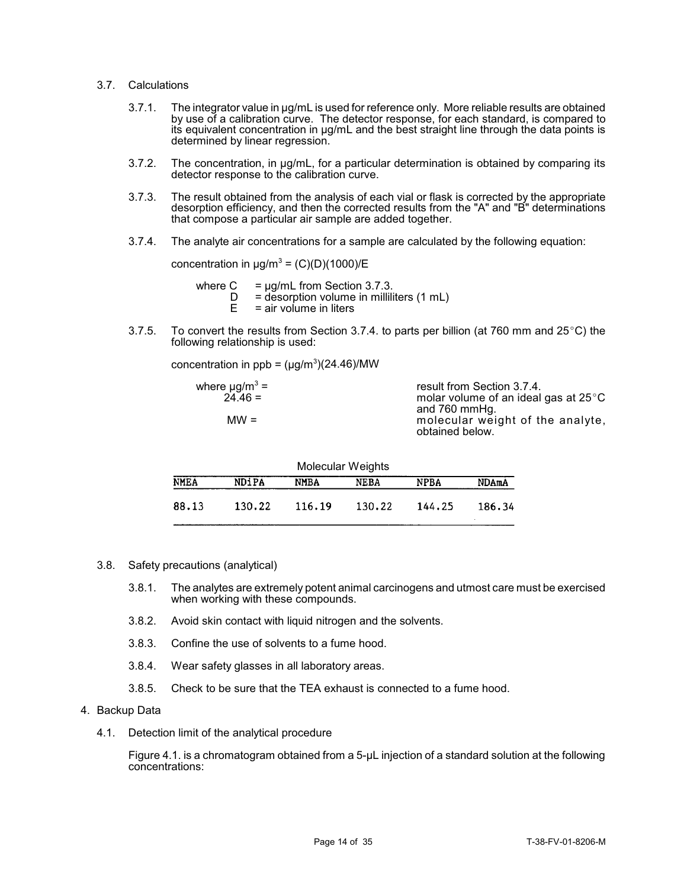- 3.7. Calculations
	- 3.7.1. The integrator value in µg/mL is used for reference only. More reliable results are obtained by use of a calibration curve. The detector response, for each standard, is compared to its equivalent concentration in µg/mL and the best straight line through the data points is determined by linear regression.
	- 3.7.2. The concentration, in µg/mL, for a particular determination is obtained by comparing its detector response to the calibration curve.
	- 3.7.3. The result obtained from the analysis of each vial or flask is corrected by the appropriate desorption efficiency, and then the corrected results from the "A" and "B" determinations that compose a particular air sample are added together.
	- 3.7.4. The analyte air concentrations for a sample are calculated by the following equation:

concentration in  $\mu$ g/m $^3$  = (C)(D)(1000)/E

- where  $C = \mu g/mL$  from Section 3.7.3.<br>  $D =$  desorption volume in milili
	- $D =$  desorption volume in milliliters (1 mL)<br> $E =$  air volume in liters
	- $=$  air volume in liters
- 3.7.5. To convert the results from Section 3.7.4. to parts per billion (at 760 mm and  $25^{\circ}$ C) the following relationship is used:

concentration in  $ppb = (\mu g/m^3)(24.46)/MW$ 

| result from Section 3.7.4.                          |
|-----------------------------------------------------|
| molar volume of an ideal gas at $25^{\circ}$ C      |
| and 760 mmHg.                                       |
| molecular weight of the analyte,<br>obtained below. |
|                                                     |

| Molecular Weights |              |        |             |             |              |  |
|-------------------|--------------|--------|-------------|-------------|--------------|--|
| <b>NMEA</b>       | <b>NDIPA</b> | NMBA   | <b>NEBA</b> | <b>NPBA</b> | <b>NDAmA</b> |  |
| 88.13             | 130.22       | 116.19 | 130.22      | 144.25      | 186.34       |  |

- 3.8. Safety precautions (analytical)
	- 3.8.1. The analytes are extremely potent animal carcinogens and utmost care must be exercised when working with these compounds.
	- 3.8.2. Avoid skin contact with liquid nitrogen and the solvents.
	- 3.8.3. Confine the use of solvents to a fume hood.
	- 3.8.4. Wear safety glasses in all laboratory areas.
	- 3.8.5. Check to be sure that the TEA exhaust is connected to a fume hood.

#### 4. Backup Data

4.1. Detection limit of the analytical procedure

Figure 4.1. is a chromatogram obtained from a 5-µL injection of a standard solution at the following concentrations: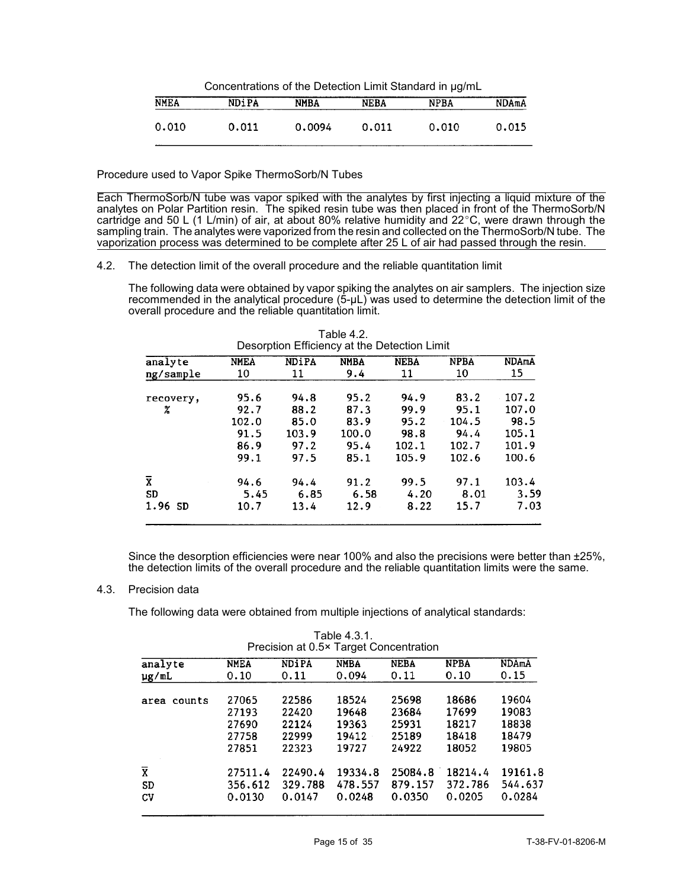| Concentrations of the Detection Limit Standard in ug/mL |              |             |             |             |              |  |
|---------------------------------------------------------|--------------|-------------|-------------|-------------|--------------|--|
| <b>NMEA</b>                                             | <b>NDiPA</b> | <b>NMBA</b> | <b>NEBA</b> | <b>NPBA</b> | <b>NDAmA</b> |  |
| 0.010                                                   | 0.011        | 0.0094      | 0.011       | 0.010       | 0.015        |  |

Procedure used to Vapor Spike ThermoSorb/N Tubes

Each ThermoSorb/N tube was vapor spiked with the analytes by first injecting a liquid mixture of the analytes on Polar Partition resin. The spiked resin tube was then placed in front of the ThermoSorb/N cartridge and 50 L (1 L/min) of air, at about 80% relative humidity and 22°C, were drawn through the sampling train. The analytes were vaporized from the resin and collected on the ThermoSorb/N tube. The vaporization process was determined to be complete after 25 L of air had passed through the resin.

### 4.2. The detection limit of the overall procedure and the reliable quantitation limit

The following data were obtained by vapor spiking the analytes on air samplers. The injection size recommended in the analytical procedure (5-µL) was used to determine the detection limit of the overall procedure and the reliable quantitation limit.

| analyte            | <b>NMEA</b> | <b>NDiPA</b> | <b>NMBA</b> | <b>NEBA</b> | <b>NPBA</b> | <b>NDAmA</b> |
|--------------------|-------------|--------------|-------------|-------------|-------------|--------------|
| ng/sample          | 10          | 11           | 9.4         | 11          | 10          | 15           |
| recovery,          | 95.6        | 94.8         | 95.2        | 94.9        | 83.2        | 107.2        |
| χ                  | 92.7        | 88.2         | 87.3        | 99.9        | 95.1        | 107.0        |
|                    | 102.0       | 85.0         | 83.9        | 95.2        | 104.5       | 98.5         |
|                    | 91.5        | 103.9        | 100.0       | 98.8        | 94.4        | 105.1        |
|                    | 86.9        | 97.2         | 95.4        | 102.1       | 102.7       | 101.9        |
|                    | 99.1        | 97.5         | 85.1        | 105.9       | 102.6       | 100.6        |
| $\bar{\textbf{x}}$ | 94.6        | 94.4         | 91.2        | 99.5        | 97.1        | 103.4        |
| <b>SD</b>          | 5.45        | 6.85         | 6.58        | 4.20        | 8.01        | 3.59         |
| $1.96$ SD          | 10.7        | 13.4         | 12.9        | 8.22        | 15.7        | 7.03         |

Table 4.2. Desorption Efficiency at the Detection Limit

Since the desorption efficiencies were near 100% and also the precisions were better than ±25%, the detection limits of the overall procedure and the reliable quantitation limits were the same.

## 4.3. Precision data

The following data were obtained from multiple injections of analytical standards:

|                         | Precision at 0.5 <sup>*</sup> Target Concentration |              |             |             |             |         |  |
|-------------------------|----------------------------------------------------|--------------|-------------|-------------|-------------|---------|--|
| analyte                 | <b>NMEA</b>                                        | <b>NDIPA</b> | <b>NMBA</b> | <b>NEBA</b> | <b>NPBA</b> | NDAmA   |  |
| µg/mL                   | 0.10                                               | 0.11         | 0.094       | 0.11        | 0.10        | 0.15    |  |
| area counts             | 27065                                              | 22586        | 18524       | 25698       | 18686       | 19604   |  |
|                         | 27193                                              | 22420        | 19648       | 23684       | 17699       | 19083   |  |
|                         | 27690                                              | 22124        | 19363       | 25931       | 18217       | 18838   |  |
|                         | 27758                                              | 22999        | 19412       | 25189       | 18418       | 18479   |  |
|                         | 27851                                              | 22323        | 19727       | 24922       | 18052       | 19805   |  |
| $\overline{\textbf{X}}$ | 27511.4                                            | 22490.4      | 19334.8     | 25084.8     | 18214.4     | 19161.8 |  |
| <b>SD</b>               | 356,612                                            | 329.788      | 478.557     | 879.157     | 372.786     | 544.637 |  |
| CV                      | 0.0130                                             | 0.0147       | 0.0248      | 0.0350      | 0.0205      | 0.0284  |  |

Table 4.3.1. Precision at 0.5× Target Concentration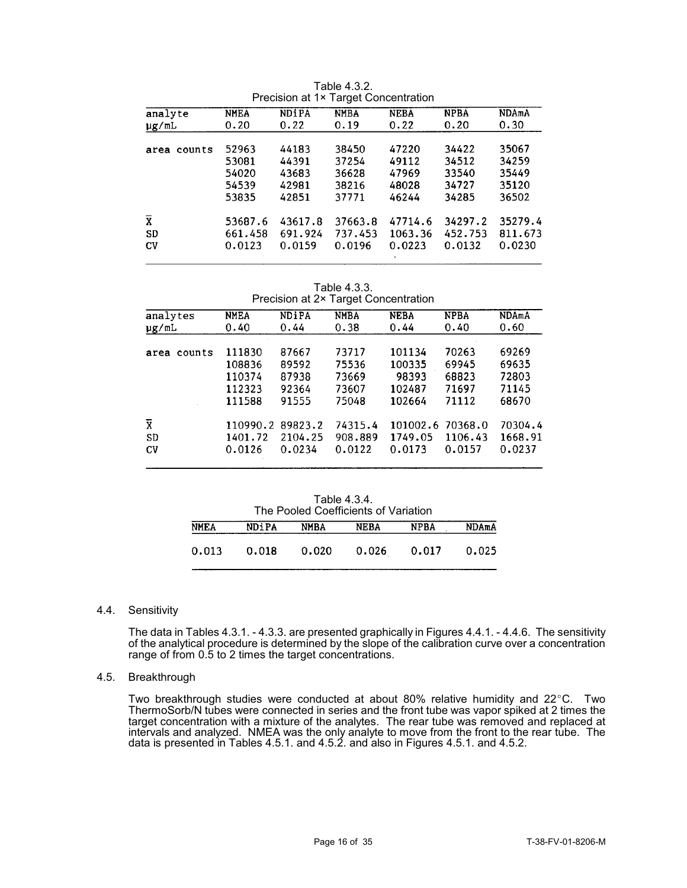|                         |             |              | Fleusion at TA Target Concentration |             |             |              |
|-------------------------|-------------|--------------|-------------------------------------|-------------|-------------|--------------|
| analyte                 | <b>NMEA</b> | <b>NDiPA</b> | <b>NMBA</b>                         | <b>NEBA</b> | <b>NPBA</b> | <b>NDAmA</b> |
| µg/mL                   | 0.20        | 0.22         | 0.19                                | 0.22        | 0.20        | 0.30         |
|                         |             |              |                                     |             |             |              |
| area counts             | 52963       | 44183        | 38450                               | 47220       | 34422       | 35067        |
|                         | 53081       | 44391        | 37254                               | 49112       | 34512       | 34259        |
|                         | 54020       | 43683        | 36628                               | 47969       | 33540       | 35449        |
|                         | 54539       | 42981        | 38216                               | 48028       | 34727       | 35120        |
|                         | 53835       | 42851        | 37771                               | 46244       | 34285       | 36502        |
| $\overline{\mathbf{x}}$ | 53687.6     | 43617.8      | 37663.8                             | 47714.6     | 34297.2     | 35279.4      |
| <b>SD</b>               | 661.458     | 691.924      | 737.453                             | 1063.36     | 452,753     | 811.673      |
|                         |             |              |                                     |             |             |              |
| <b>CV</b>               | 0.0123      | 0.0159       | 0.0196                              | 0.0223      | 0.0132      | 0.0230       |

Table 4.3.2.<br>1x Target Concentration Precision at 1x

| Table 4.3.3.                         |
|--------------------------------------|
| Precision at 2× Target Concentration |

| analytes              | <b>NMEA</b> | <b>NDiPA</b> | <b>NMBA</b> | <b>NEBA</b> | <b>NPBA</b> | <b>NDAmA</b> |
|-----------------------|-------------|--------------|-------------|-------------|-------------|--------------|
| µg/mL                 | 0.40        | 0.44         | 0.38        | 0.44        | 0.40        | 0.60         |
| counts<br>area        | 111830      | 87667        | 73717       | 101134      | 70263       | 69269        |
|                       | 108836      | 89592        | 75536       | 100335      | 69945       | 69635        |
|                       | 110374      | 87938        | 73669       | 98393       | 68823       | 72803        |
|                       | 112323      | 92364        | 73607       | 102487      | 71697       | 71145        |
|                       | 111588      | 91555        | 75048       | 102664      | 71112       | 68670        |
| $\overline{\text{X}}$ | 110990.2    | 89823.2      | 74315.4     | 101002.6    | 70368.0     | 70304.4      |
| <b>SD</b>             | 1401.72     | 2104.25      | 908.889     | 1749.05     | 1106.43     | 1668.91      |
| <b>CV</b>             | 0.0126      | 0.0234       | 0.0122      | 0.0173      | 0.0157      | 0.0237       |

Table 4.3.4. The Pooled Coefficients of Variation **NMEA NMBA NEBA NDiPA NPBA NDAmA**  $0.013$ 0.018 0.020 0.026 0.017 0.025

## 4.4. Sensitivity

The data in Tables 4.3.1. - 4.3.3. are presented graphically in Figures 4.4.1. - 4.4.6. The sensitivity of the analytical procedure is determined by the slope of the calibration curve over a concentration range of from 0.5 to 2 times the target concentrations.

## 4.5. Breakthrough

Two breakthrough studies were conducted at about 80% relative humidity and  $22^{\circ}$ C. Two ThermoSorb/N tubes were connected in series and the front tube was vapor spiked at 2 times the target concentration with a mixture of the analytes. The rear tube was removed and replaced at intervals and analyzed. NMEA was the only analyte to move from the front to the rear tube. The data is presented in Tables 4.5.1. and 4.5.2. and also in Figures 4.5.1. and 4.5.2.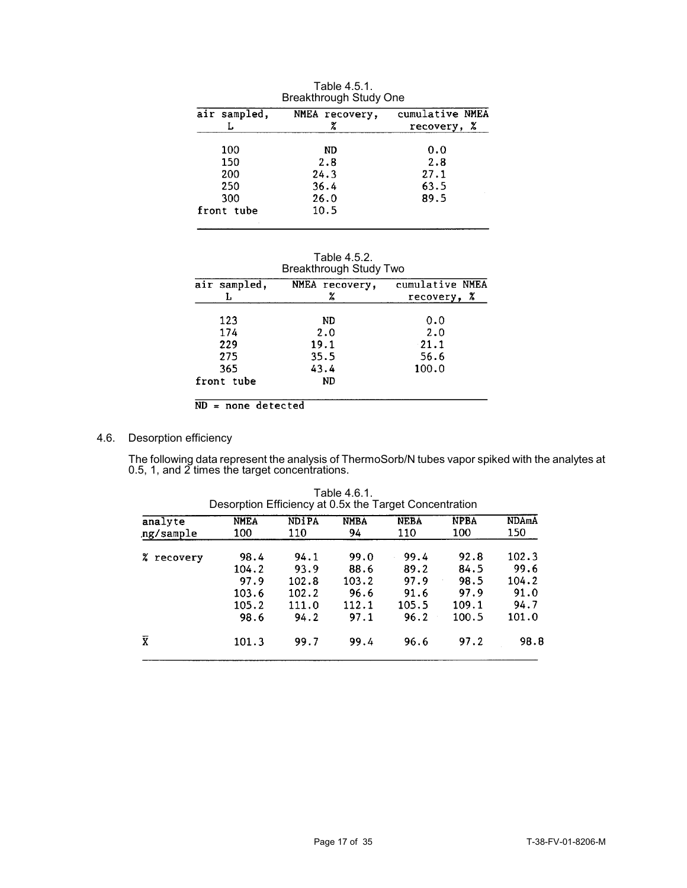| air sampled, | NMEA recovery, | cumulative NMEA |
|--------------|----------------|-----------------|
|              |                | X<br>recovery,  |
| 100          | ND             | 0.0             |
| 150          | 2.8            | 2.8             |
| 200          | 24.3           | 27.1            |
| 250          | 36.4           | 63.5            |
| 300          | 26.0           | 89.5            |
| front tube   | 10.5           |                 |

Table 4.5.1. Breakthrough Study One

| Table 4.5.2.                  |
|-------------------------------|
| <b>Breakthrough Study Two</b> |

| air sampled, | NMEA recovery,<br>z | cumulative NMEA<br>recovery, % |  |  |
|--------------|---------------------|--------------------------------|--|--|
| 123          | ND                  | 0.0                            |  |  |
| 174          | 2.0                 | 2.0                            |  |  |
| 229          | 19.1                | 21.1                           |  |  |
| 275          | 35.5                | 56.6                           |  |  |
| 365          | 43.4                | 100.0                          |  |  |
| front tube   | <b>ND</b>           |                                |  |  |

 $ND = none detected$ 

# 4.6. Desorption efficiency

The following data represent the analysis of ThermoSorb/N tubes vapor spiked with the analytes at 0.5, 1, and 2 times the target concentrations.

| <b>NMEA</b> | <b>NDIPA</b> | <b>NMBA</b> | <b>NEBA</b> | <b>NPBA</b> | <b>NDAmA</b> |
|-------------|--------------|-------------|-------------|-------------|--------------|
| 100         | 110          | 94          | 110         | 100         | 150          |
| 98.4        | 94.1         | 99.0        | 99.4        | 92.8        | 102.3        |
| 104.2       | 93.9         | 88.6        | 89.2        | 84.5        | 99.6         |
| 97.9        | 102.8        | 103.2       | 97.9        | 98.5        | 104.2        |
| 103.6       | 102.2        | 96.6        | 91.6        | 97.9        | 91.0         |
| 105.2       | 111.0        | 112.1       | 105.5       | 109.1       | 94.7         |
| 98.6        | 94.2         | 97.1        | 96.2        | 100.5       | 101.0        |
| 101.3       | 99.7         | 99.4        | 96.6        | 97.2        | 98.8         |
|             |              |             |             |             |              |

Table 4.6.1. Desorption Efficiency at 0.5x the Target Concentration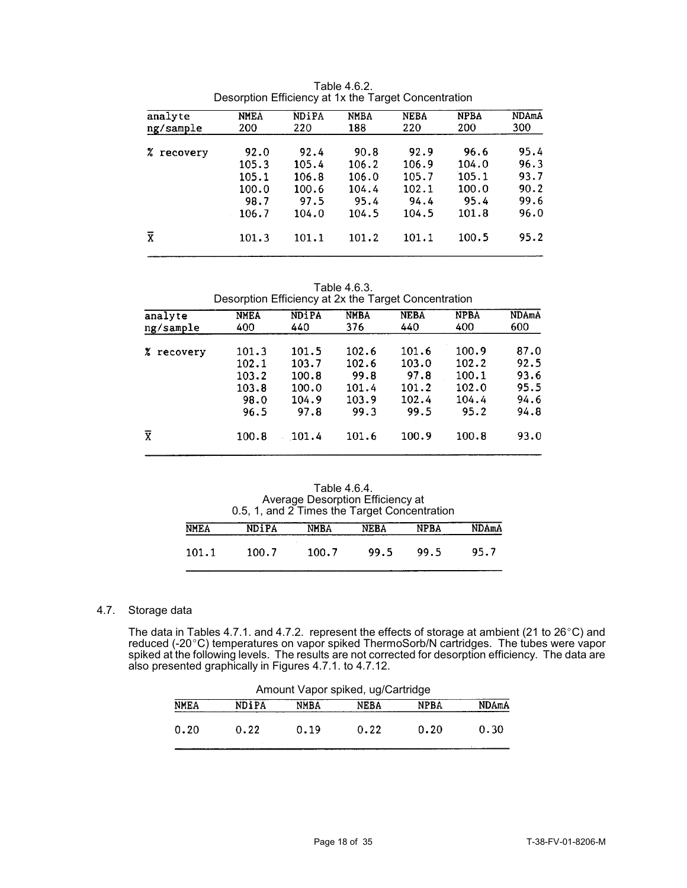| analyte                 | <b>NMEA</b> | NDiPA | <b>NMBA</b> | <b>NEBA</b> | <b>NPBA</b> | NDAmA |
|-------------------------|-------------|-------|-------------|-------------|-------------|-------|
| ng/sample               | 200         | 220   | 188         | 220         | 200         | 300   |
| z.<br>recovery          | 92.0        | 92.4  | 90.8        | 92.9        | 96.6        | 95.4  |
|                         | 105.3       | 105.4 | 106.2       | 106.9       | 104.0       | 96.3  |
|                         | 105.1       | 106.8 | 106.0       | 105.7       | 105.1       | 93.7  |
|                         | 100.0       | 100.6 | 104.4       | 102.1       | 100.0       | 90.2  |
|                         | 98.7        | 97.5  | 95.4        | 94.4        | 95.4        | 99.6  |
|                         | 106.7       | 104.0 | 104.5       | 104.5       | 101.8       | 96.0  |
| $\overline{\mathbf{x}}$ | 101.3       | 101.1 | 101.2       | 101.1       | 100.5       | 95.2  |
|                         |             |       |             |             |             |       |

Table 4.6.2. Desorption Efficiency at 1x the Target Concentration

Table 4.6.3.

|                      | Desorption Efficiency at 2x the Target Concentration |                                                   |                                                  |                                                  |                                                   |                                              |
|----------------------|------------------------------------------------------|---------------------------------------------------|--------------------------------------------------|--------------------------------------------------|---------------------------------------------------|----------------------------------------------|
| analyte<br>ng/sample | <b>NMEA</b><br>400                                   | NDIPA<br>440                                      | <b>NMBA</b><br>376                               | <b>NEBA</b><br>440                               | <b>NPBA</b><br>400                                | <b>NDAmA</b><br>600                          |
| X.<br>recovery       | 101.3<br>102.1<br>103.2<br>103.8<br>98.0<br>96.5     | 101.5<br>103.7<br>100.8<br>100.0<br>104.9<br>97.8 | 102.6<br>102.6<br>99.8<br>101.4<br>103.9<br>99.3 | 101.6<br>103.0<br>97.8<br>101.2<br>102.4<br>99.5 | 100.9<br>102.2<br>100.1<br>102.0<br>104.4<br>95.2 | 87.0<br>92.5<br>93.6<br>95.5<br>94.6<br>94.8 |
| $\overline{X}$       | 100.8                                                | 101.4                                             | 101.6                                            | 100.9                                            | 100.8                                             | 93.0                                         |

Table 4.6.4. Average Desorption Efficiency at 0.5, 1, and 2 Times the Target Concentration

| <b>NMEA</b> | <b>NDIPA</b> | <b>NMBA</b> | <b>NEBA</b> | <b>NPBA</b> | <b>NDAmA</b> |
|-------------|--------------|-------------|-------------|-------------|--------------|
| 101.1       | 100.7        | 100.7       | 99.5        | 99.5        | 95.7         |

# 4.7. Storage data

The data in Tables 4.7.1. and 4.7.2. <code>represent</code> the effects of storage at ambient (21 to 26 $^{\circ}$ C) and reduced (-20°C) temperatures on vapor spiked ThermoSorb/N cartridges. The tubes were vapor spiked at the following levels. The results are not corrected for desorption efficiency. The data are also presented graphically in Figures 4.7.1. to 4.7.12.

|             |              | Amount Vapor spiked, ug/Cartridge |      |             |              |  |
|-------------|--------------|-----------------------------------|------|-------------|--------------|--|
| <b>NMEA</b> | <b>NDiPA</b> | NMBA                              | NEBA | <b>NPBA</b> | <b>NDAmA</b> |  |
| 0.20        | 0.22         | 0.19                              | 0.22 | 0.20        | 0.30         |  |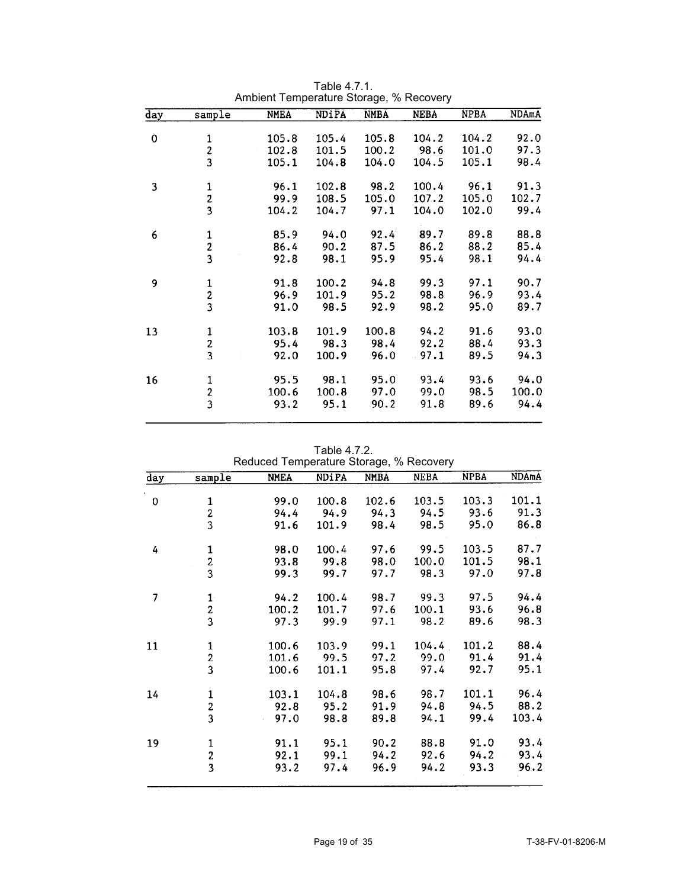| day | sample                                     | <b>NMEA</b> | NDiPA | <b>NMBA</b> | <b>NEBA</b> | <b>NPBA</b> | NDAmA |
|-----|--------------------------------------------|-------------|-------|-------------|-------------|-------------|-------|
|     |                                            |             |       |             |             |             |       |
| 0   |                                            | 105.8       | 105.4 | 105.8       | 104.2       | 104.2       | 92.0  |
|     | $\frac{1}{2}$                              | 102.8       | 101.5 | 100.2       | 98.6        | 101.0       | 97.3  |
|     |                                            | 105.1       | 104.8 | 104.0       | 104.5       | 105.1       | 98.4  |
| 3   |                                            | 96.1        | 102.8 | 98.2        | 100.4       | 96.1        | 91.3  |
|     | $\frac{1}{2}$                              | 99.9        | 108.5 | 105.0       | 107.2       | 105.0       | 102.7 |
|     |                                            | 104.2       | 104.7 | 97.1        | 104.0       | 102.0       | 99.4  |
| 6   |                                            | 85.9        | 94.0  | 92.4        | 89.7        | 89.8        | 88.8  |
|     |                                            | 86.4        | 90.2  | 87.5        | 86.2        | 88.2        | 85.4  |
|     | $\begin{array}{c} 1 \\ 2 \\ 3 \end{array}$ | 92.8        | 98.1  | 95.9        | 95.4        | 98.1        | 94.4  |
| 9   |                                            | 91.8        | 100.2 | 94.8        | 99.3        | 97.1        | 90.7  |
|     | $\begin{array}{c} 1 \\ 2 \\ 3 \end{array}$ | 96.9        | 101.9 | 95.2        | 98.8        | 96.9        | 93.4  |
|     |                                            | 91.0        | 98.5  | 92.9        | 98.2        | 95.0        | 89.7  |
| 13  |                                            | 103.8       | 101.9 | 100.8       | 94.2        | 91.6        | 93.0  |
|     |                                            | 95.4        | 98.3  | 98.4        | 92.2        | 88.4        | 93.3  |
|     | $\begin{array}{c} 1 \\ 2 \\ 3 \end{array}$ | 92.0        | 100.9 | 96.0        | .97.1       | 89.5        | 94.3  |
| 16  |                                            | 95.5        | 98.1  | 95.0        | 93.4        | 93.6        | 94.0  |
|     | $\frac{1}{2}$                              | 100.6       | 100.8 | 97.0        | 99.0        | 98.5        | 100.0 |
|     | $\overline{\mathbf{3}}$                    | 93.2        | 95.1  | 90.2        | 91.8        | 89.6        | 94.4  |

Table 4.7.1. Ambient Temperature Storage, % Recovery

Table 4.7.2.

| day | sample                                     | <b>NMEA</b>                | <b>NDiPA</b> | <b>NMBA</b> | <b>NEBA</b> | <b>NPBA</b> | <b>NDAmA</b> |
|-----|--------------------------------------------|----------------------------|--------------|-------------|-------------|-------------|--------------|
|     |                                            |                            |              |             |             |             |              |
| 0   |                                            | 99.0                       | 100.8        | 102.6       | 103.5       | 103.3       | 101.1        |
|     | $\frac{1}{2}$                              | 94.4                       | 94.9         | 94.3        | 94.5        | 93.6        | 91.3         |
|     |                                            | 91.6                       | 101.9        | 98.4        | 98.5        | 95.0        | 86.8         |
| 4   |                                            | 98.0                       | 100.4        | 97.6        | 99.5        | 103.5       | 87.7         |
|     |                                            | 93.8                       | 99.8         | 98.0        | 100.0       | 101.5       | 98.1         |
|     | $\begin{array}{c} 1 \\ 2 \\ 3 \end{array}$ | 99.3                       | 99.7         | 97.7        | 98.3        | 97.0        | 97.8         |
| 7   |                                            | 94.2                       | 100.4        | 98.7        | 99.3        | 97.5        | 94.4         |
|     |                                            | 100.2                      | 101.7        | 97.6        | 100.1       | 93.6        | 96.8         |
|     | $\frac{1}{2}$<br>3                         | 97.3                       | 99.9         | 97.1        | 98.2        | 89.6        | 98.3         |
| 11  |                                            | 100.6                      | 103.9        | 99.1        | 104.4       | 101.2       | 88.4         |
|     |                                            | 101.6                      | 99.5         | 97.2        | 99.0        | 91.4        | 91.4         |
|     | $\begin{array}{c} 1 \\ 2 \\ 3 \end{array}$ | 100.6                      | 101.1        | 95.8        | 97.4        | 92.7        | 95.1         |
| 14  |                                            | 103.1                      | 104.8        | 98.6        | 98.7        | 101.1       | 96.4         |
|     |                                            | 92.8                       | 95.2         | 91.9        | 94.8        | 94.5        | 88.2         |
|     | $\begin{array}{c} 1 \\ 2 \\ 3 \end{array}$ | 97.0<br>$\hat{\mathbf{r}}$ | 98.8         | 89.8        | 94.1        | 99.4        | 103.4        |
| 19  | $\mathbf{1}$                               | 91.1                       | 95.1         | 90.2        | 88.8        | 91.0        | 93.4         |
|     |                                            | 92.1                       | 99.1         | 94.2        | 92.6        | 94.2        | 93.4         |
|     | $\frac{2}{3}$                              | 93.2                       | 97.4         | 96.9        | 94.2        | 93.3        | 96.2         |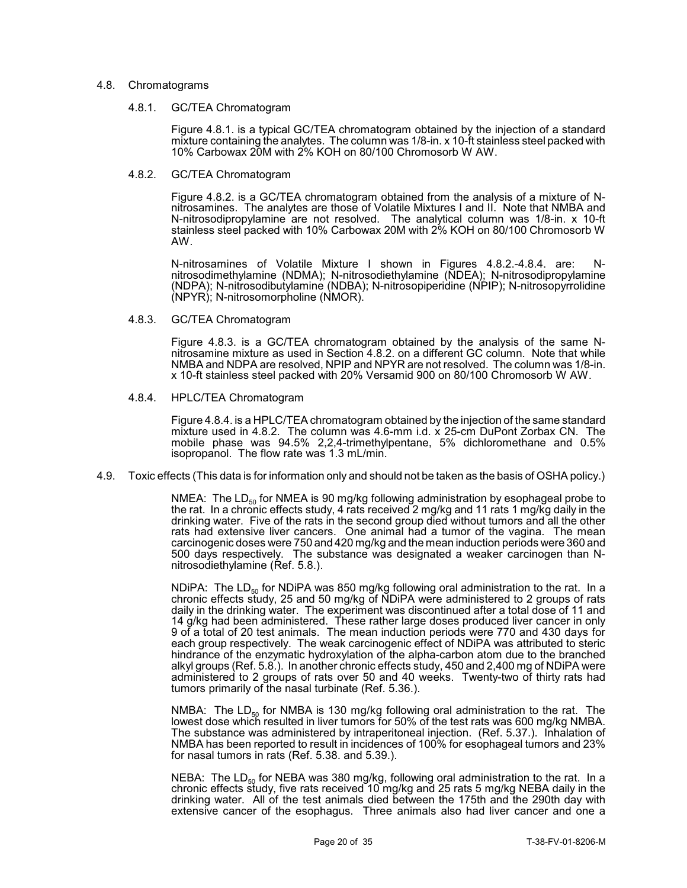### 4.8. Chromatograms

#### 4.8.1. GC/TEA Chromatogram

Figure 4.8.1. is a typical GC/TEA chromatogram obtained by the injection of a standard mixture containing the analytes. The column was 1/8-in. x 10-ft stainless steel packed with 10% Carbowax 20M with 2% KOH on 80/100 Chromosorb W AW.

### 4.8.2. GC/TEA Chromatogram

Figure 4.8.2. is a GC/TEA chromatogram obtained from the analysis of a mixture of Nnitrosamines. The analytes are those of Volatile Mixtures I and II. Note that NMBA and N-nitrosodipropylamine are not resolved. The analytical column was 1/8-in. x 10-ft stainless steel packed with 10% Carbowax 20M with 2% KOH on 80/100 Chromosorb W AW.

N-nitrosamines of Volatile Mixture I shown in Figures 4.8.2.-4.8.4. are: Nnitrosodimethylamine (NDMA); N-nitrosodiethylamine (NDEA); N-nitrosodipropylamine (NDPA); N-nitrosodibutylamine (NDBA); N-nitrosopiperidine (NPIP); N-nitrosopyrrolidine (NPYR); N-nitrosomorpholine (NMOR).

### 4.8.3. GC/TEA Chromatogram

Figure 4.8.3. is a GC/TEA chromatogram obtained by the analysis of the same Nnitrosamine mixture as used in Section 4.8.2. on a different GC column. Note that while NMBA and NDPA are resolved, NPIP and NPYR are not resolved. The column was 1/8-in. x 10-ft stainless steel packed with 20% Versamid 900 on 80/100 Chromosorb W AW.

### 4.8.4. HPLC/TEA Chromatogram

Figure 4.8.4. is a HPLC/TEA chromatogram obtained by the injection of the same standard mixture used in 4.8.2. The column was 4.6-mm i.d. x 25-cm DuPont Zorbax CN. The mobile phase was 94.5% 2,2,4-trimethylpentane, 5% dichloromethane and 0.5% isopropanol. The flow rate was 1.3 mL/min.

### 4.9. Toxic effects (This data is for information only and should not be taken as the basis of OSHA policy.)

NMEA: The  $LD_{50}$  for NMEA is 90 mg/kg following administration by esophageal probe to the rat. In a chronic effects study, 4 rats received 2 mg/kg and 11 rats 1 mg/kg daily in the drinking water. Five of the rats in the second group died without tumors and all the other rats had extensive liver cancers. One animal had a tumor of the vagina. The mean carcinogenic doses were 750 and 420 mg/kg and the mean induction periods were 360 and 500 days respectively. The substance was designated a weaker carcinogen than Nnitrosodiethylamine (Ref. 5.8.).

NDIPA: The LD<sub>50</sub> for NDIPA was 850 mg/kg following oral administration to the rat. In a chronic effects study, 25 and 50 mg/kg of NDiPA were administered to 2 groups of rats daily in the drinking water. The experiment was discontinued after a total dose of 11 and 14 g/kg had been administered. These rather large doses produced liver cancer in only 9 of a total of 20 test animals. The mean induction periods were 770 and 430 days for each group respectively. The weak carcinogenic effect of NDiPA was attributed to steric hindrance of the enzymatic hydroxylation of the alpha-carbon atom due to the branched alkyl groups (Ref. 5.8.). In another chronic effects study, 450 and 2,400 mg of NDiPA were administered to 2 groups of rats over 50 and 40 weeks. Twenty-two of thirty rats had tumors primarily of the nasal turbinate (Ref. 5.36.).

NMBA: The  $LD_{50}$  for NMBA is 130 mg/kg following oral administration to the rat. The lowest dose which resulted in liver tumors for 50% of the test rats was 600 mg/kg NMBA. The substance was administered by intraperitoneal injection. (Ref. 5.37.). Inhalation of NMBA has been reported to result in incidences of 100% for esophageal tumors and 23% for nasal tumors in rats (Ref. 5.38. and 5.39.).

NEBA: The LD<sub>50</sub> for NEBA was 380 mg/kg, following oral administration to the rat. In a chronic effects study, five rats received 10 mg/kg and 25 rats 5 mg/kg NEBA daily in the drinking water. All of the test animals died between the 175th and the 290th day with extensive cancer of the esophagus. Three animals also had liver cancer and one a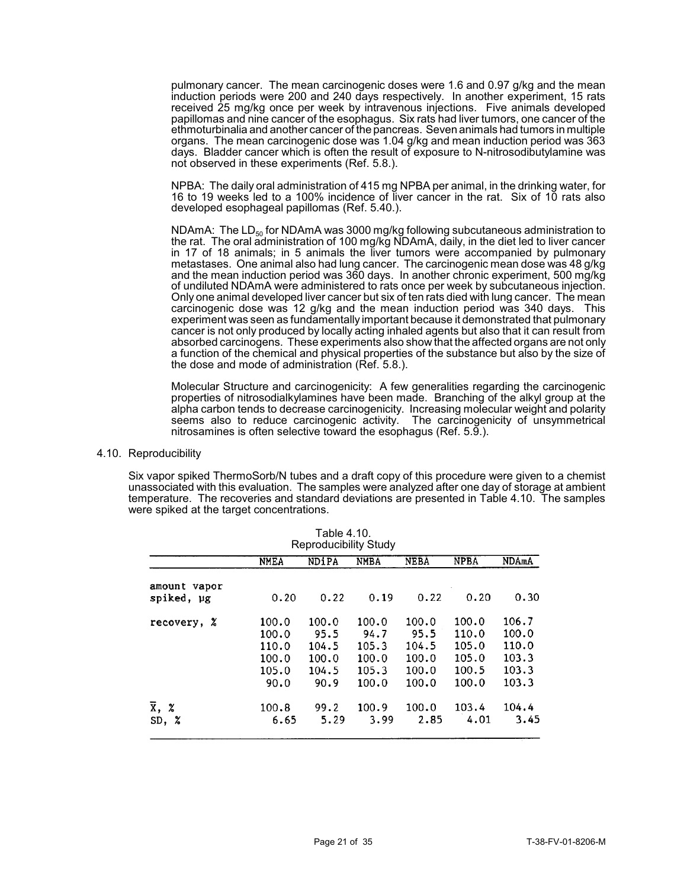pulmonary cancer. The mean carcinogenic doses were 1.6 and 0.97 g/kg and the mean induction periods were 200 and 240 days respectively. In another experiment, 15 rats received 25 mg/kg once per week by intravenous injections. Five animals developed papillomas and nine cancer of the esophagus. Six rats had liver tumors, one cancer of the ethmoturbinalia and another cancer of the pancreas. Seven animals had tumors in multiple organs. The mean carcinogenic dose was 1.04 g/kg and mean induction period was 363 days. Bladder cancer which is often the result of exposure to N-nitrosodibutylamine was not observed in these experiments (Ref. 5.8.).

NPBA: The daily oral administration of 415 mg NPBA per animal, in the drinking water, for 16 to 19 weeks led to a 100% incidence of liver cancer in the rat. Six of 10 rats also developed esophageal papillomas (Ref. 5.40.).

NDAmA: The  $LD_{50}$  for NDAmA was 3000 mg/kg following subcutaneous administration to the rat. The oral administration of 100 mg/kg NDAmA, daily, in the diet led to liver cancer in 17 of 18 animals; in 5 animals the liver tumors were accompanied by pulmonary metastases. One animal also had lung cancer. The carcinogenic mean dose was 48 g/kg and the mean induction period was 360 days. In another chronic experiment, 500 mg/kg of undiluted NDAmA were administered to rats once per week by subcutaneous injection. Only one animal developed liver cancer but six of ten rats died with lung cancer. The mean carcinogenic dose was 12 g/kg and the mean induction period was 340 days. This experiment was seen as fundamentally important because it demonstrated that pulmonary cancer is not only produced by locally acting inhaled agents but also that it can result from absorbed carcinogens. These experiments also show that the affected organs are not only a function of the chemical and physical properties of the substance but also by the size of the dose and mode of administration (Ref. 5.8.).

Molecular Structure and carcinogenicity: A few generalities regarding the carcinogenic properties of nitrosodialkylamines have been made. Branching of the alkyl group at the alpha carbon tends to decrease carcinogenicity. Increasing molecular weight and polarity seems also to reduce carcinogenic activity. The carcinogenicity of unsymmetrical nitrosamines is often selective toward the esophagus (Ref. 5.9.).

4.10. Reproducibility

Six vapor spiked ThermoSorb/N tubes and a draft copy of this procedure were given to a chemist unassociated with this evaluation. The samples were analyzed after one day of storage at ambient temperature. The recoveries and standard deviations are presented in Table 4.10. The samples were spiked at the target concentrations.

| Table 4.10.<br><b>Reproducibility Study</b> |                |                |                |                |                |                |
|---------------------------------------------|----------------|----------------|----------------|----------------|----------------|----------------|
|                                             | <b>NMEA</b>    | <b>NDiPA</b>   | <b>NMBA</b>    | <b>NEBA</b>    | <b>NPBA</b>    | NDAmA          |
| amount vapor<br>spiked, µg                  | 0.20           | 0.22           | 0.19           | 0.22           | 0.20           | 0.30           |
| recovery, %                                 | 100.0          | 100.0          | 100.0          | 100.0          | 100.0          | 106.7          |
|                                             | 100.0<br>110.0 | 95.5<br>104.5  | 94.7<br>105.3  | 95.5<br>104.5  | 110.0<br>105.0 | 100.0<br>110.0 |
|                                             | 100.0<br>105.0 | 100.0<br>104.5 | 100.0<br>105.3 | 100.0<br>100.0 | 105.0<br>100.5 | 103.3<br>103.3 |
|                                             | 90.0           | 90.9           | 100.0          | 100.0          | 100.0          | 103.3          |
| $\overline{x}$ , $\chi$                     | 100.8          | 99.2           | 100.9          | 100.0          | 103.4          | 104.4          |
| z<br>SD,                                    | 6.65           | 5.29           | 3.99           | 2.85           | 4.01           | 3.45           |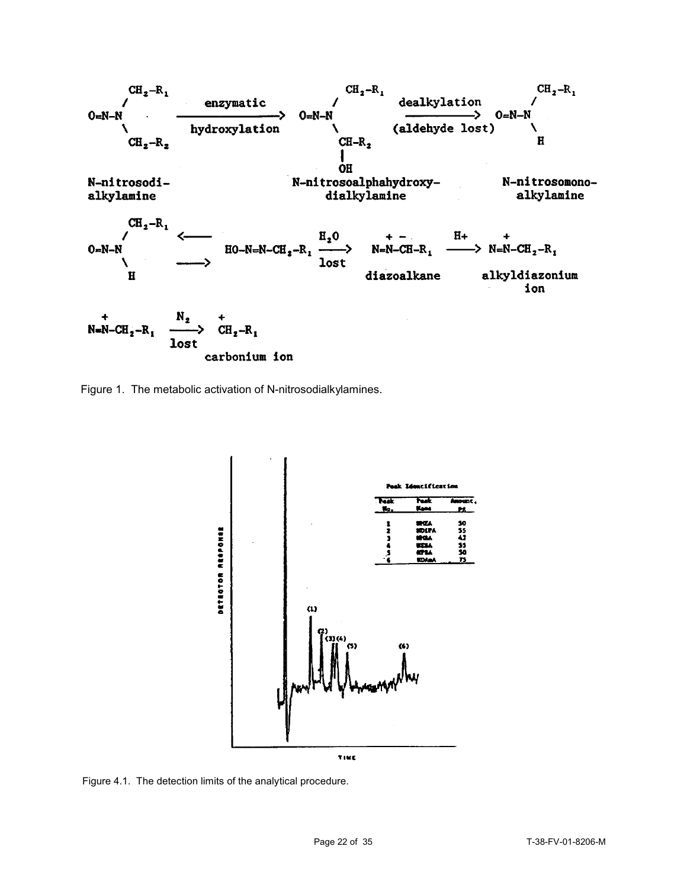

Figure 1. The metabolic activation of N-nitrosodialkylamines.



Figure 4.1. The detection limits of the analytical procedure.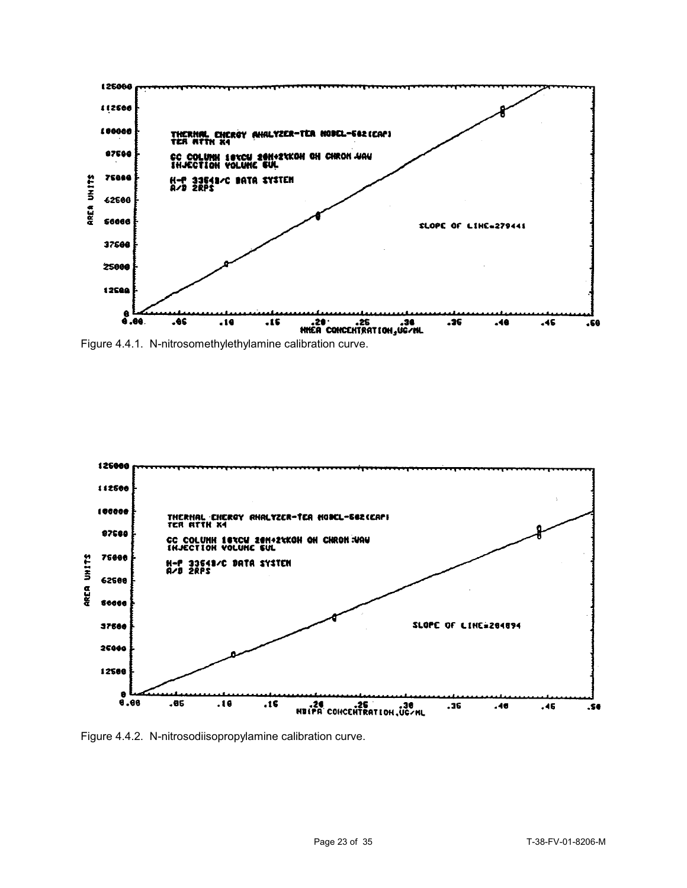

Figure 4.4.1. N-nitrosomethylethylamine calibration curve.



Figure 4.4.2. N-nitrosodiisopropylamine calibration curve.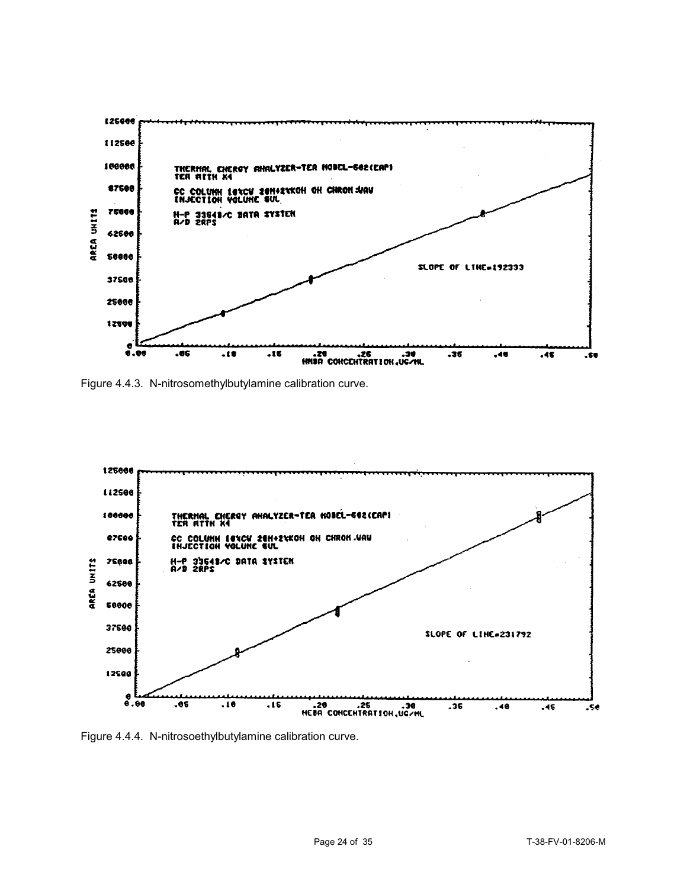

Figure 4.4.3. N-nitrosomethylbutylamine calibration curve.



Figure 4.4.4. N-nitrosoethylbutylamine calibration curve.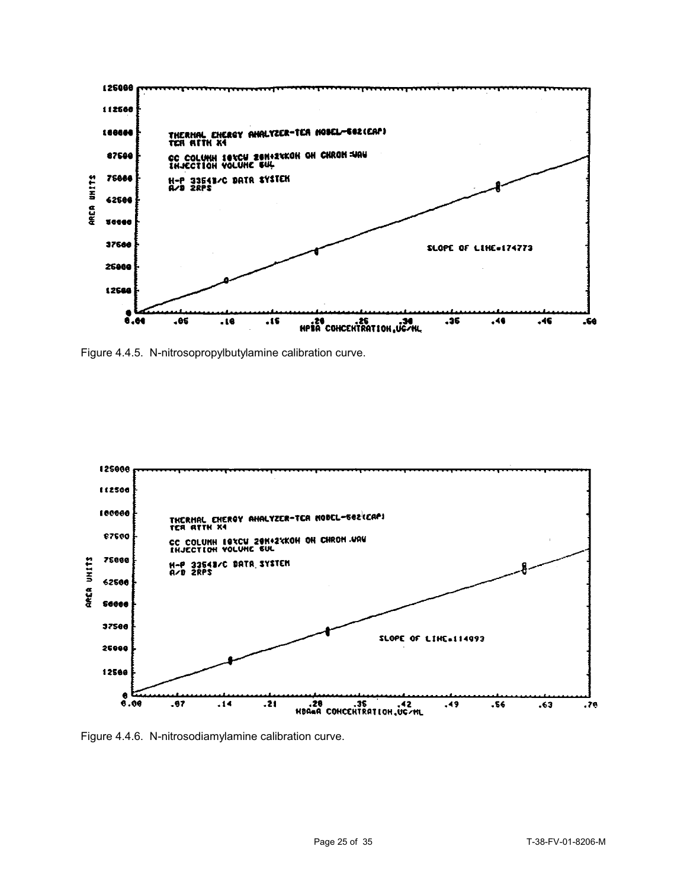

Figure 4.4.5. N-nitrosopropylbutylamine calibration curve.



Figure 4.4.6. N-nitrosodiamylamine calibration curve.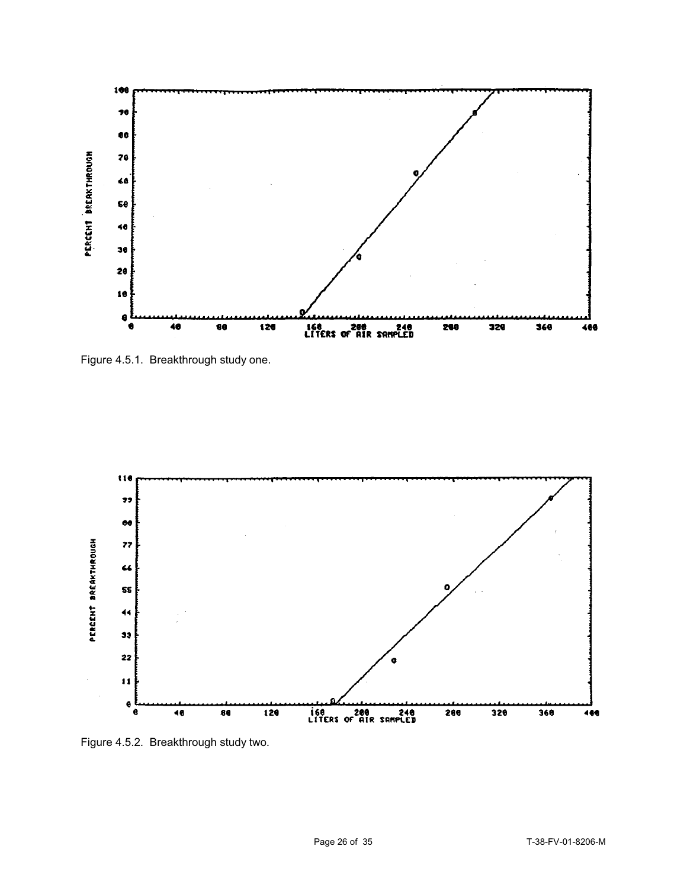

Figure 4.5.1. Breakthrough study one.



Figure 4.5.2. Breakthrough study two.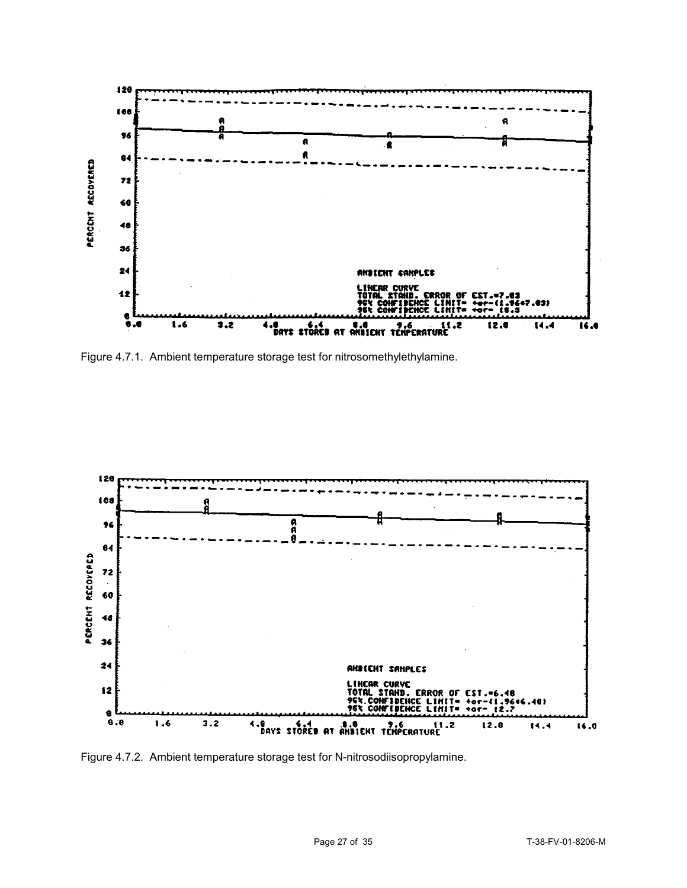

Figure 4.7.1. Ambient temperature storage test for nitrosomethylethylamine.



Figure 4.7.2. Ambient temperature storage test for N-nitrosodiisopropylamine.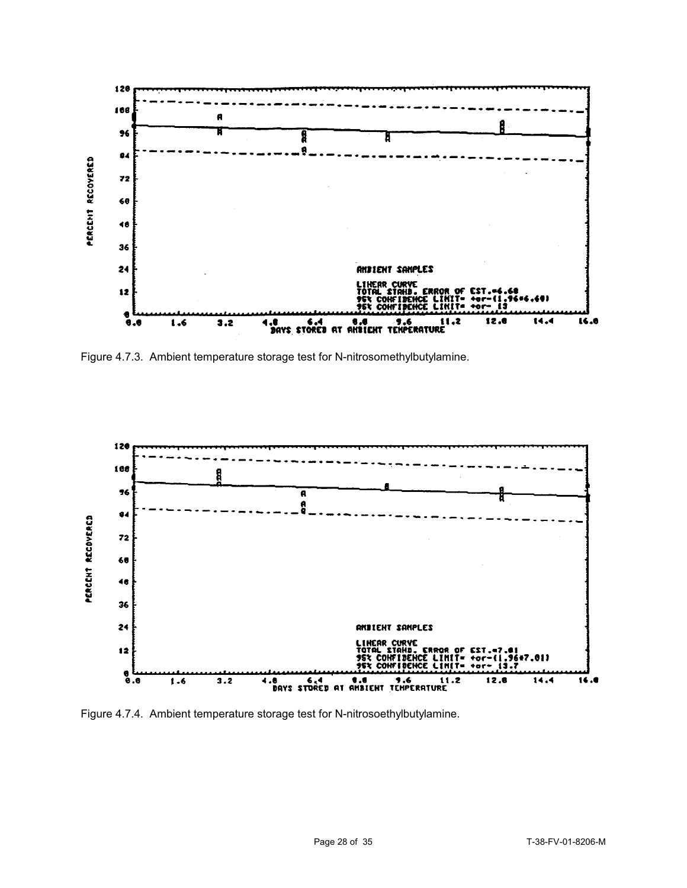

Figure 4.7.3. Ambient temperature storage test for N-nitrosomethylbutylamine.



Figure 4.7.4. Ambient temperature storage test for N-nitrosoethylbutylamine.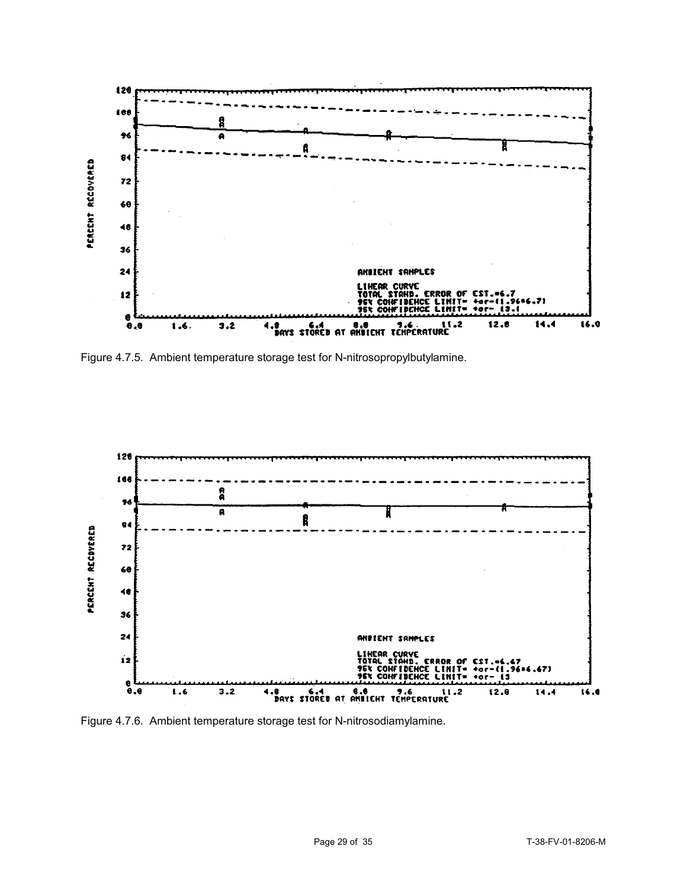

Figure 4.7.5. Ambient temperature storage test for N-nitrosopropylbutylamine.



Figure 4.7.6. Ambient temperature storage test for N-nitrosodiamylamine.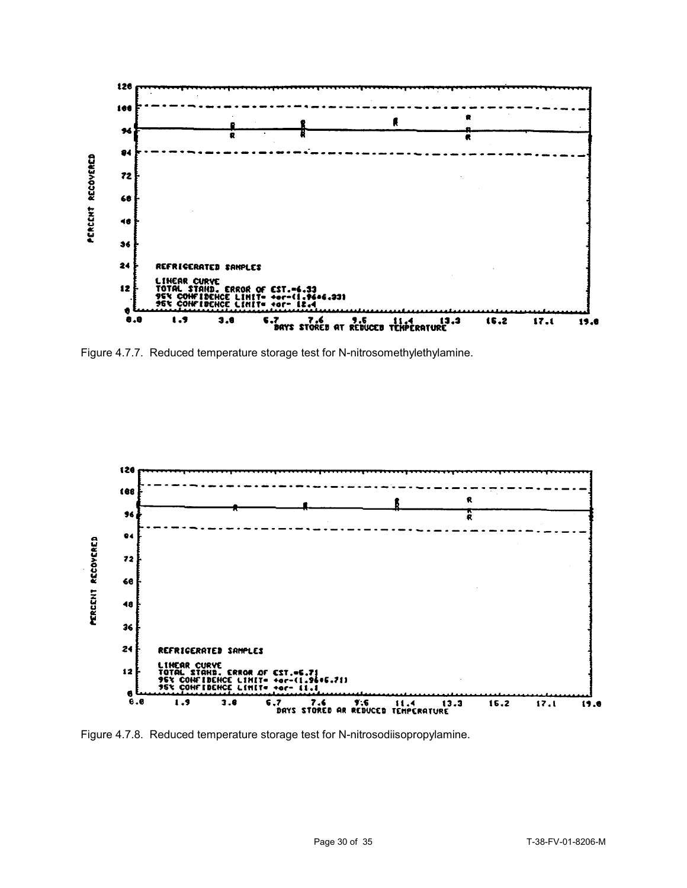

Figure 4.7.7. Reduced temperature storage test for N-nitrosomethylethylamine.



Figure 4.7.8. Reduced temperature storage test for N-nitrosodiisopropylamine.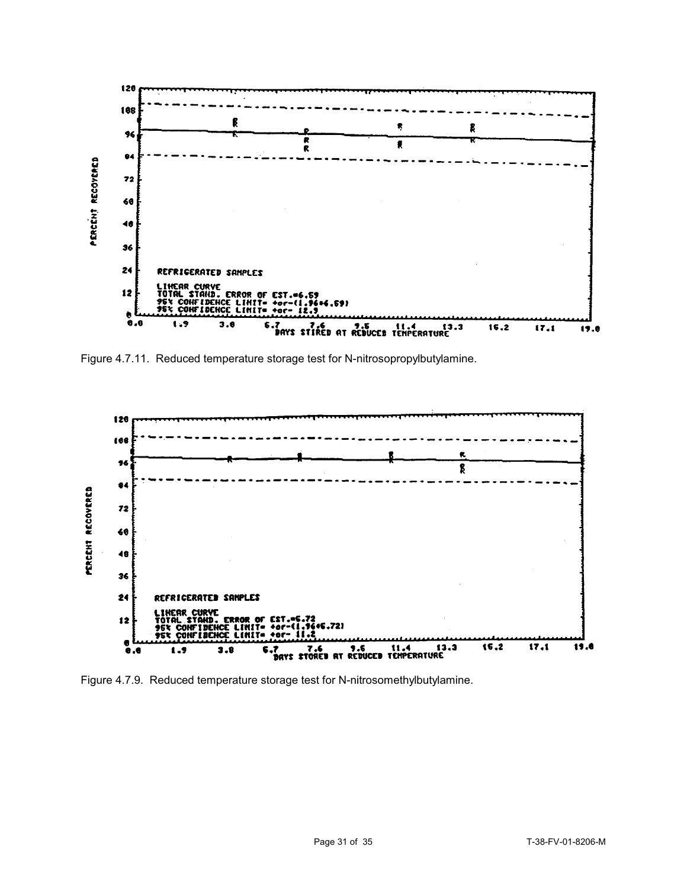

Figure 4.7.11. Reduced temperature storage test for N-nitrosopropylbutylamine.



Figure 4.7.9. Reduced temperature storage test for N-nitrosomethylbutylamine.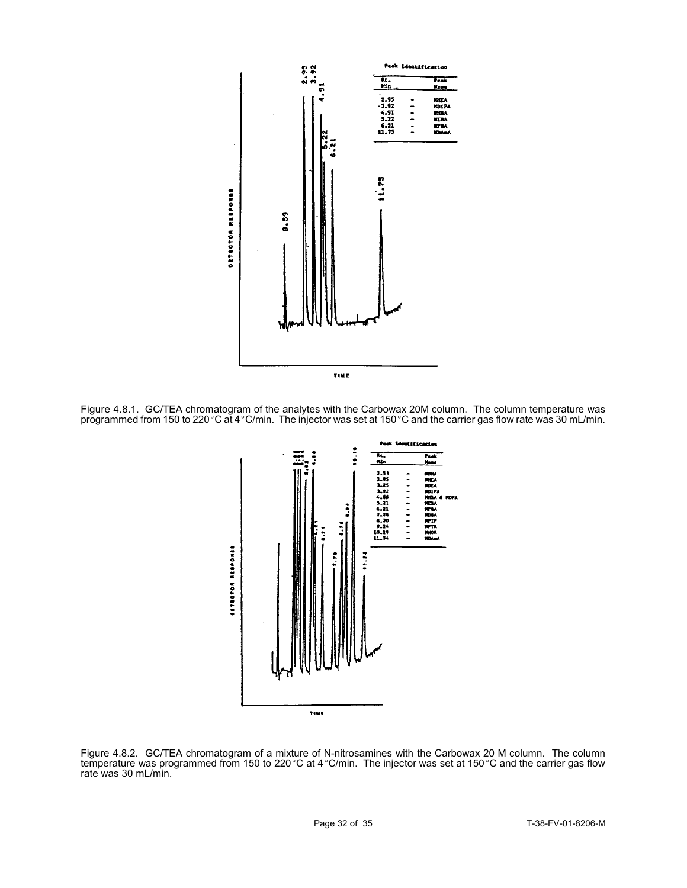

Figure 4.8.1. GC/TEA chromatogram of the analytes with the Carbowax 20M column. The column temperature was programmed from 150 to 220 °C at 4 °C/min. The injector was set at 150 °C and the carrier gas flow rate was 30 mL/min.



Figure 4.8.2. GC/TEA chromatogram of a mixture of N-nitrosamines with the Carbowax 20 M column. The column temperature was programmed from 150 to 220°C at 4°C/min. The injector was set at 150°C and the carrier gas flow rate was 30 mL/min.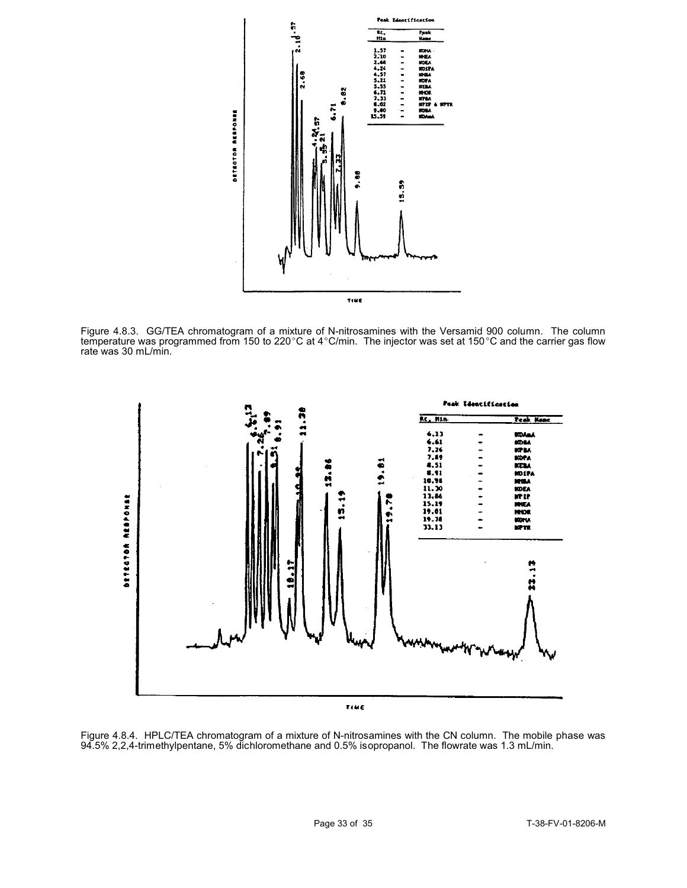

Figure 4.8.3. GG/TEA chromatogram of a mixture of N-nitrosamines with the Versamid 900 column. The column temperature was programmed from 150 to 220°C at 4°C/min. The injector was set at 150°C and the carrier gas flow rate was 30 mL/min.



TIME

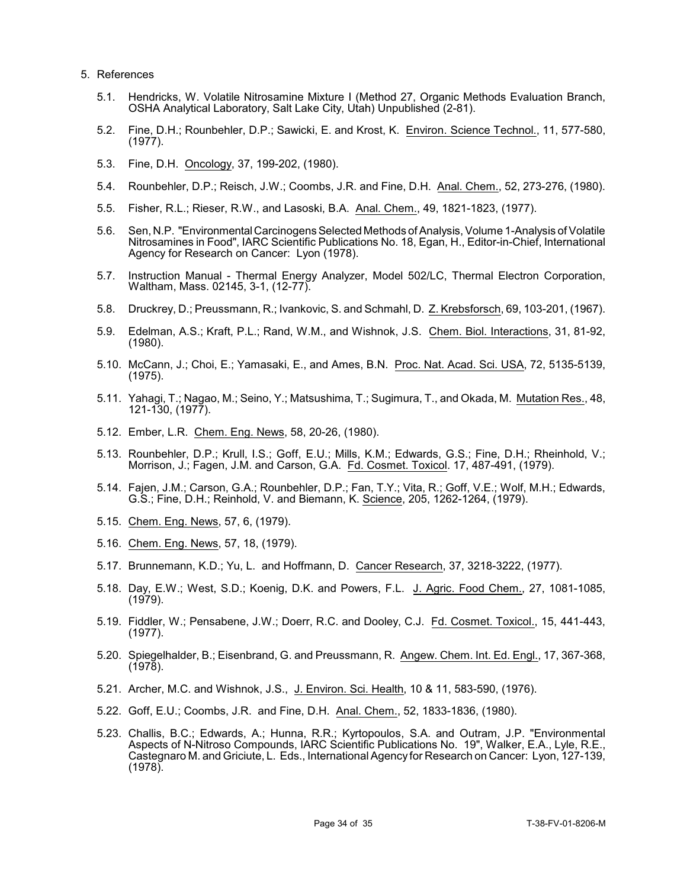- 5. References
	- 5.1. Hendricks, W. Volatile Nitrosamine Mixture I (Method 27, Organic Methods Evaluation Branch, OSHA Analytical Laboratory, Salt Lake City, Utah) Unpublished (2-81).
	- 5.2. Fine, D.H.; Rounbehler, D.P.; Sawicki, E. and Krost, K. Environ. Science Technol., 11, 577-580, (1977).
	- 5.3. Fine, D.H. Oncology, 37, 199-202, (1980).
	- 5.4. Rounbehler, D.P.; Reisch, J.W.; Coombs, J.R. and Fine, D.H. Anal. Chem., 52, 273-276, (1980).
	- 5.5. Fisher, R.L.; Rieser, R.W., and Lasoski, B.A. Anal. Chem., 49, 1821-1823, (1977).
	- 5.6. Sen, N.P. "Environmental Carcinogens Selected Methods of Analysis, Volume 1-Analysis of Volatile Nitrosamines in Food", IARC Scientific Publications No. 18, Egan, H., Editor-in-Chief, International Agency for Research on Cancer: Lyon (1978).
	- 5.7. Instruction Manual Thermal Energy Analyzer, Model 502/LC, Thermal Electron Corporation, Waltham, Mass. 02145, 3-1, (12-77).
	- 5.8. Druckrey, D.; Preussmann, R.; Ivankovic, S. and Schmahl, D. Z. Krebsforsch, 69, 103-201, (1967).
	- 5.9. Edelman, A.S.; Kraft, P.L.; Rand, W.M., and Wishnok, J.S. Chem. Biol. Interactions, 31, 81-92, (1980).
	- 5.10. McCann, J.; Choi, E.; Yamasaki, E., and Ames, B.N. Proc. Nat. Acad. Sci. USA, 72, 5135-5139, (1975).
	- 5.11. Yahagi, T.; Nagao, M.; Seino, Y.; Matsushima, T.; Sugimura, T., and Okada, M. Mutation Res., 48, 121-130, (1977).
	- 5.12. Ember, L.R. Chem. Eng. News, 58, 20-26, (1980).
	- 5.13. Rounbehler, D.P.; Krull, I.S.; Goff, E.U.; Mills, K.M.; Edwards, G.S.; Fine, D.H.; Rheinhold, V.; Morrison, J.; Fagen, J.M. and Carson, G.A. Fd. Cosmet. Toxicol. 17, 487-491, (1979).
	- 5.14. Fajen, J.M.; Carson, G.A.; Rounbehler, D.P.; Fan, T.Y.; Vita, R.; Goff, V.E.; Wolf, M.H.; Edwards, G.S.; Fine, D.H.; Reinhold, V. and Biemann, K. Science, 205, 1262-1264, (1979).
	- 5.15. Chem. Eng. News, 57, 6, (1979).
	- 5.16. Chem. Eng. News, 57, 18, (1979).
	- 5.17. Brunnemann, K.D.; Yu, L. and Hoffmann, D. Cancer Research, 37, 3218-3222, (1977).
	- 5.18. Day, E.W.; West, S.D.; Koenig, D.K. and Powers, F.L. J. Agric. Food Chem., 27, 1081-1085, (1979).
	- 5.19. Fiddler, W.; Pensabene, J.W.; Doerr, R.C. and Dooley, C.J. Fd. Cosmet. Toxicol., 15, 441-443, (1977).
	- 5.20. Spiegelhalder, B.; Eisenbrand, G. and Preussmann, R. Angew. Chem. Int. Ed. Engl., 17, 367-368,  $(1978)$ .
	- 5.21. Archer, M.C. and Wishnok, J.S., J. Environ. Sci. Health, 10 & 11, 583-590, (1976).
	- 5.22. Goff, E.U.; Coombs, J.R. and Fine, D.H. Anal. Chem., 52, 1833-1836, (1980).
	- 5.23. Challis, B.C.; Edwards, A.; Hunna, R.R.; Kyrtopoulos, S.A. and Outram, J.P. "Environmental Aspects of N-Nitroso Compounds, IARC Scientific Publications No. 19", Walker, E.A., Lyle, R.E., Castegnaro M. and Griciute, L. Eds., International Agency for Research on Cancer: Lyon, 127-139, (1978).